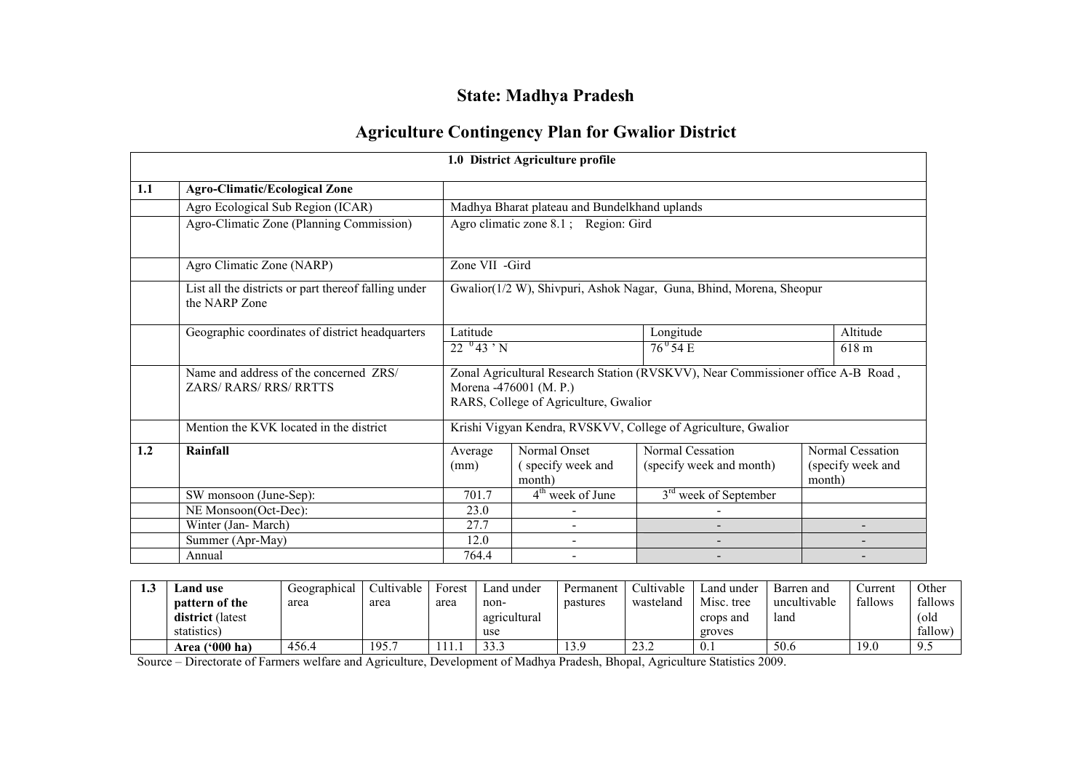# State: Madhya Pradesh

## Agriculture Contingency Plan for Gwalior District

|     |                                                                         |                                                                     | 1.0 District Agriculture profile                                |                                                                                  |                                                 |  |  |  |  |  |
|-----|-------------------------------------------------------------------------|---------------------------------------------------------------------|-----------------------------------------------------------------|----------------------------------------------------------------------------------|-------------------------------------------------|--|--|--|--|--|
| 1.1 | <b>Agro-Climatic/Ecological Zone</b>                                    |                                                                     |                                                                 |                                                                                  |                                                 |  |  |  |  |  |
|     | Agro Ecological Sub Region (ICAR)                                       |                                                                     | Madhya Bharat plateau and Bundelkhand uplands                   |                                                                                  |                                                 |  |  |  |  |  |
|     | Agro-Climatic Zone (Planning Commission)                                |                                                                     | Agro climatic zone 8.1; Region: Gird                            |                                                                                  |                                                 |  |  |  |  |  |
|     | Agro Climatic Zone (NARP)                                               |                                                                     | Zone VII -Gird                                                  |                                                                                  |                                                 |  |  |  |  |  |
|     | List all the districts or part thereof falling under<br>the NARP Zone   | Gwalior(1/2 W), Shivpuri, Ashok Nagar, Guna, Bhind, Morena, Sheopur |                                                                 |                                                                                  |                                                 |  |  |  |  |  |
|     | Geographic coordinates of district headquarters                         | Latitude<br>Altitude<br>Longitude                                   |                                                                 |                                                                                  |                                                 |  |  |  |  |  |
|     |                                                                         | $22^{0}43 \cdot N$<br>$76^{\circ}$ 54 E<br>618 m                    |                                                                 |                                                                                  |                                                 |  |  |  |  |  |
|     | Name and address of the concerned ZRS/<br><b>ZARS/ RARS/ RRS/ RRTTS</b> |                                                                     | Morena -476001 (M. P.)<br>RARS, College of Agriculture, Gwalior | Zonal Agricultural Research Station (RVSKVV), Near Commissioner office A-B Road, |                                                 |  |  |  |  |  |
|     | Mention the KVK located in the district                                 |                                                                     |                                                                 | Krishi Vigyan Kendra, RVSKVV, College of Agriculture, Gwalior                    |                                                 |  |  |  |  |  |
| 1.2 | Rainfall                                                                | Average<br>(mm)                                                     | Normal Onset<br>(specify week and<br>month)                     | Normal Cessation<br>(specify week and month)                                     | Normal Cessation<br>(specify week and<br>month) |  |  |  |  |  |
|     | SW monsoon (June-Sep):                                                  | 701.7                                                               | 4 <sup>th</sup> week of June                                    | 3 <sup>rd</sup> week of September                                                |                                                 |  |  |  |  |  |
|     | NE Monsoon(Oct-Dec):                                                    | 23.0                                                                |                                                                 |                                                                                  |                                                 |  |  |  |  |  |
|     | Winter (Jan-March)                                                      | 27.7                                                                |                                                                 |                                                                                  |                                                 |  |  |  |  |  |
|     | Summer (Apr-May)                                                        | 12.0                                                                |                                                                 |                                                                                  |                                                 |  |  |  |  |  |
|     | Annual                                                                  | 764.4                                                               |                                                                 |                                                                                  |                                                 |  |  |  |  |  |

| ⊥.∪ | and use_              | Geographical | Cultivable | Forest | Land under   | Permanent | Cultivable  | ∟and under       | Barren and   | ∪urrent | Other   |
|-----|-----------------------|--------------|------------|--------|--------------|-----------|-------------|------------------|--------------|---------|---------|
|     | <b>pattern of the</b> | area         | area       | area   | non-         | pastures  | wasteland   | Misc. tree       | uncultivable | fallows | fallows |
|     | district (latest      |              |            |        | agricultural |           |             | crops and        | land         |         | (old    |
|     | statistics)           |              |            |        | use          |           |             | groves           |              |         | fallow  |
|     | Area $(900)$ ha)      | 456.4        | 195.       |        | 222          | 3.9       | 232<br>25.Z | $\mathbf{U}$ . 1 | 50.6         | 19.0    | 7.J     |

Source – Directorate of Farmers welfare and Agriculture, Development of Madhya Pradesh, Bhopal, Agriculture Statistics 2009.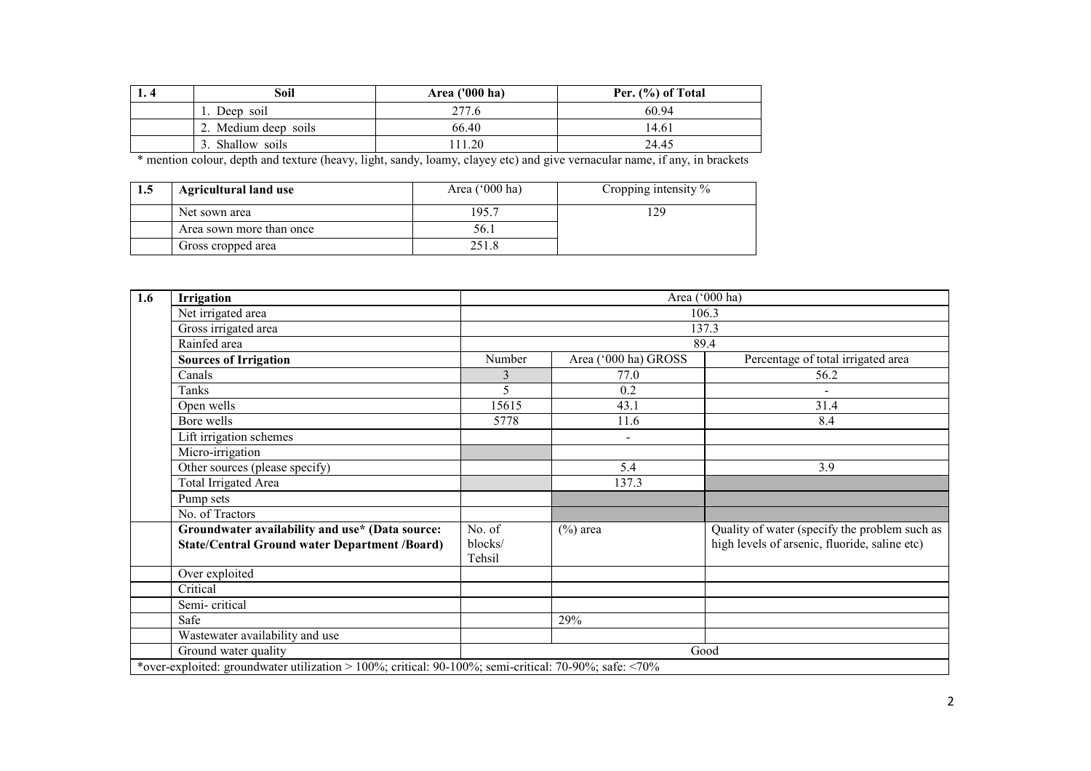| 1. 4 | Soil                 | Area ('000 ha) | Per. (%) of Total |
|------|----------------------|----------------|-------------------|
|      | Deep soil            | 277.6          | 60.94             |
|      | 2. Medium deep soils | 66.40          | 14.61             |
|      | Shallow soils        | 11.20          | 24.45             |

\* mention colour, depth and texture (heavy, light, sandy, loamy, clayey etc) and give vernacular name, if any, in brackets

| 1.5 | <b>Agricultural land use</b> | Area $(^{\circ}000$ ha) | Cropping intensity $\%$ |
|-----|------------------------------|-------------------------|-------------------------|
|     | Net sown area                | 195.7                   | 29                      |
|     | Area sown more than once     | 56.1                    |                         |
|     | Gross cropped area           | 251.8                   |                         |

| 1.6 | Irrigation                                                                                              |                             |                      | Area ('000 ha)                                                                                 |  |  |  |  |
|-----|---------------------------------------------------------------------------------------------------------|-----------------------------|----------------------|------------------------------------------------------------------------------------------------|--|--|--|--|
|     | Net irrigated area                                                                                      |                             |                      | 106.3                                                                                          |  |  |  |  |
|     | Gross irrigated area                                                                                    | 137.3                       |                      |                                                                                                |  |  |  |  |
|     | Rainfed area                                                                                            |                             |                      | 89.4                                                                                           |  |  |  |  |
|     | <b>Sources of Irrigation</b>                                                                            | Number                      | Area ('000 ha) GROSS | Percentage of total irrigated area                                                             |  |  |  |  |
|     | Canals                                                                                                  | 3                           | 77.0                 | 56.2                                                                                           |  |  |  |  |
|     | Tanks                                                                                                   | 5                           | 0.2                  |                                                                                                |  |  |  |  |
|     | Open wells                                                                                              | 15615                       | 43.1                 | 31.4                                                                                           |  |  |  |  |
|     | Bore wells                                                                                              | 5778                        | 11.6                 | 8.4                                                                                            |  |  |  |  |
|     | Lift irrigation schemes                                                                                 |                             | $\overline{a}$       |                                                                                                |  |  |  |  |
|     | Micro-irrigation                                                                                        |                             |                      |                                                                                                |  |  |  |  |
|     | Other sources (please specify)                                                                          |                             | 5.4                  | 3.9                                                                                            |  |  |  |  |
|     | Total Irrigated Area                                                                                    |                             | 137.3                |                                                                                                |  |  |  |  |
|     | Pump sets                                                                                               |                             |                      |                                                                                                |  |  |  |  |
|     | No. of Tractors                                                                                         |                             |                      |                                                                                                |  |  |  |  |
|     | Groundwater availability and use* (Data source:<br><b>State/Central Ground water Department /Board)</b> | No. of<br>blocks/<br>Tehsil | $(\%)$ area          | Quality of water (specify the problem such as<br>high levels of arsenic, fluoride, saline etc) |  |  |  |  |
|     | Over exploited                                                                                          |                             |                      |                                                                                                |  |  |  |  |
|     | Critical                                                                                                |                             |                      |                                                                                                |  |  |  |  |
|     | Semi-critical                                                                                           |                             |                      |                                                                                                |  |  |  |  |
|     | Safe                                                                                                    |                             | 29%                  |                                                                                                |  |  |  |  |
|     | Wastewater availability and use                                                                         |                             |                      |                                                                                                |  |  |  |  |
|     | Ground water quality                                                                                    | Good                        |                      |                                                                                                |  |  |  |  |
|     | *over-exploited: groundwater utilization > 100%; critical: 90-100%; semi-critical: 70-90%; safe: <70%   |                             |                      |                                                                                                |  |  |  |  |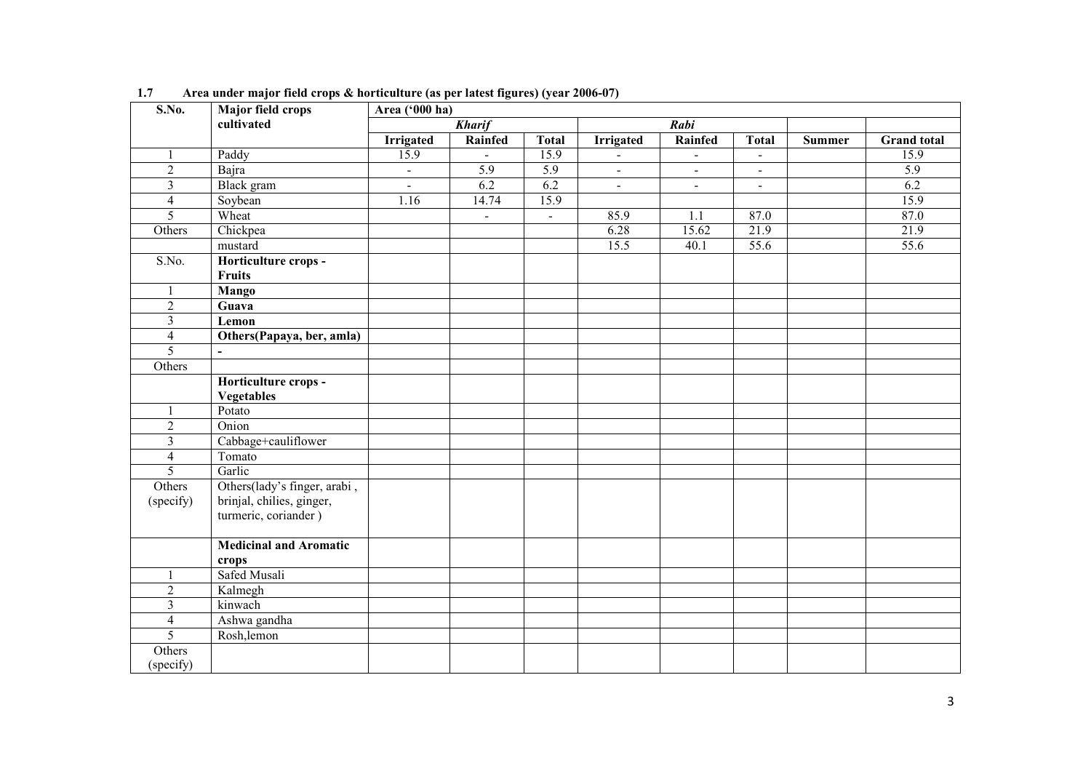| S.No.                   | Major field crops             | Area ('000 ha)   |                  |                |                  |                |                |               |                    |
|-------------------------|-------------------------------|------------------|------------------|----------------|------------------|----------------|----------------|---------------|--------------------|
|                         | cultivated                    |                  | <b>Kharif</b>    |                |                  | Rabi           |                |               |                    |
|                         |                               | <b>Irrigated</b> | Rainfed          | <b>Total</b>   | <b>Irrigated</b> | Rainfed        | <b>Total</b>   | <b>Summer</b> | <b>Grand</b> total |
| $\mathbf{1}$            | Paddy                         | 15.9             | $\Delta$         | 15.9           | $\blacksquare$   | $\blacksquare$ | $\blacksquare$ |               | 15.9               |
| $\overline{2}$          | Bajra                         | $\blacksquare$   | $\overline{5.9}$ | 5.9            | $\blacksquare$   | $\blacksquare$ | $\sim$         |               | $\overline{5.9}$   |
| $\overline{\mathbf{3}}$ | Black gram                    | $\omega$         | 6.2              | 6.2            | $\blacksquare$   | $\blacksquare$ | $\blacksquare$ |               | 6.2                |
| $\overline{4}$          | Soybean                       | 1.16             | 14.74            | 15.9           |                  |                |                |               | 15.9               |
| $\overline{5}$          | Wheat                         |                  | $\blacksquare$   | $\blacksquare$ | 85.9             | 1.1            | 87.0           |               | 87.0               |
| Others                  | Chickpea                      |                  |                  |                | 6.28             | 15.62          | 21.9           |               | 21.9               |
|                         | mustard                       |                  |                  |                | 15.5             | 40.1           | 55.6           |               | 55.6               |
| S.No.                   | Horticulture crops -          |                  |                  |                |                  |                |                |               |                    |
|                         | <b>Fruits</b>                 |                  |                  |                |                  |                |                |               |                    |
| $\mathbf{1}$            | <b>Mango</b>                  |                  |                  |                |                  |                |                |               |                    |
| $\overline{2}$          | Guava                         |                  |                  |                |                  |                |                |               |                    |
| $\overline{3}$          | Lemon                         |                  |                  |                |                  |                |                |               |                    |
| $\overline{4}$          | Others(Papaya, ber, amla)     |                  |                  |                |                  |                |                |               |                    |
| $\overline{5}$          |                               |                  |                  |                |                  |                |                |               |                    |
| Others                  |                               |                  |                  |                |                  |                |                |               |                    |
|                         | Horticulture crops -          |                  |                  |                |                  |                |                |               |                    |
|                         | <b>Vegetables</b>             |                  |                  |                |                  |                |                |               |                    |
| 1                       | Potato                        |                  |                  |                |                  |                |                |               |                    |
| $\overline{2}$          | Onion                         |                  |                  |                |                  |                |                |               |                    |
| $\overline{3}$          | Cabbage+cauliflower           |                  |                  |                |                  |                |                |               |                    |
| $\overline{4}$          | Tomato                        |                  |                  |                |                  |                |                |               |                    |
| 5                       | Garlic                        |                  |                  |                |                  |                |                |               |                    |
| Others                  | Others(lady's finger, arabi,  |                  |                  |                |                  |                |                |               |                    |
| (specify)               | brinjal, chilies, ginger,     |                  |                  |                |                  |                |                |               |                    |
|                         | turmeric, coriander)          |                  |                  |                |                  |                |                |               |                    |
|                         |                               |                  |                  |                |                  |                |                |               |                    |
|                         | <b>Medicinal and Aromatic</b> |                  |                  |                |                  |                |                |               |                    |
|                         | crops                         |                  |                  |                |                  |                |                |               |                    |
|                         | Safed Musali                  |                  |                  |                |                  |                |                |               |                    |
| $\overline{2}$          | Kalmegh                       |                  |                  |                |                  |                |                |               |                    |
| $\overline{\mathbf{3}}$ | kinwach                       |                  |                  |                |                  |                |                |               |                    |
| $\overline{4}$          | Ashwa gandha                  |                  |                  |                |                  |                |                |               |                    |
| $\overline{5}$          | Rosh, lemon                   |                  |                  |                |                  |                |                |               |                    |
| Others<br>(specify)     |                               |                  |                  |                |                  |                |                |               |                    |

1.7 Area under major field crops & horticulture (as per latest figures) (year 2006-07)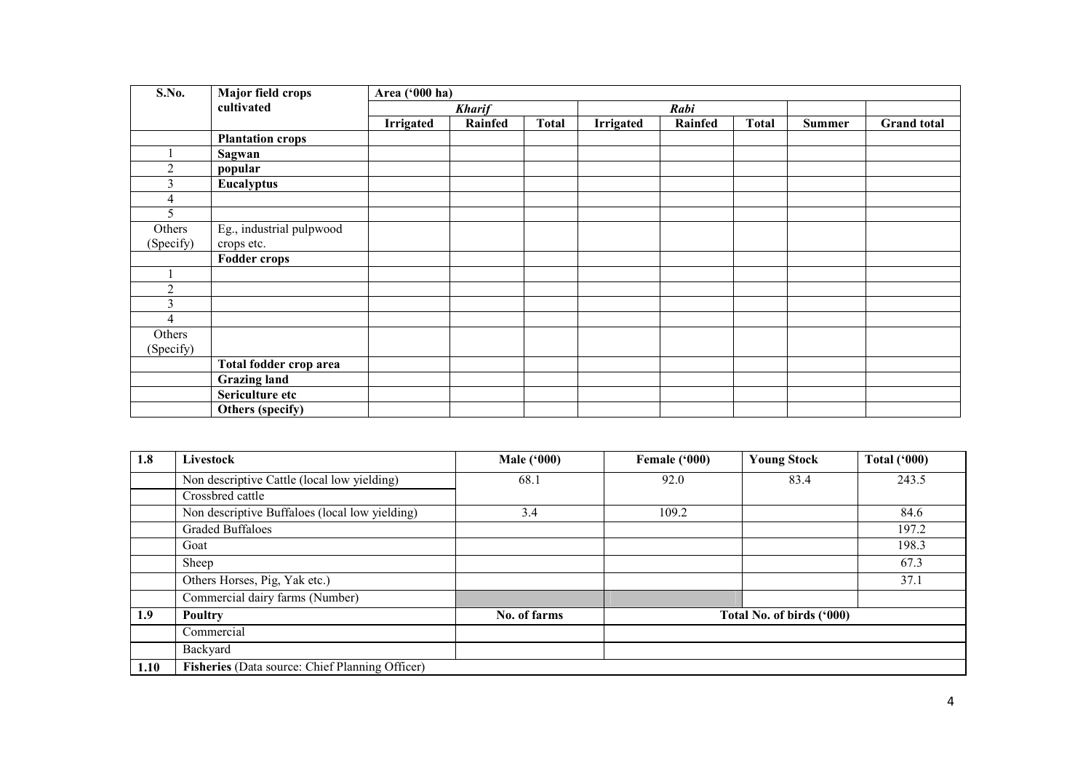| S.No.          | <b>Major field crops</b> | Area ('000 ha) |               |              |                  |         |              |               |                    |
|----------------|--------------------------|----------------|---------------|--------------|------------------|---------|--------------|---------------|--------------------|
|                | cultivated               |                | <b>Kharif</b> |              |                  | Rabi    |              |               |                    |
|                |                          | Irrigated      | Rainfed       | <b>Total</b> | <b>Irrigated</b> | Rainfed | <b>Total</b> | <b>Summer</b> | <b>Grand</b> total |
|                | <b>Plantation crops</b>  |                |               |              |                  |         |              |               |                    |
|                | Sagwan                   |                |               |              |                  |         |              |               |                    |
| $\overline{2}$ | popular                  |                |               |              |                  |         |              |               |                    |
| 3              | Eucalyptus               |                |               |              |                  |         |              |               |                    |
| 4              |                          |                |               |              |                  |         |              |               |                    |
| 5              |                          |                |               |              |                  |         |              |               |                    |
| Others         | Eg., industrial pulpwood |                |               |              |                  |         |              |               |                    |
| (Specify)      | crops etc.               |                |               |              |                  |         |              |               |                    |
|                | <b>Fodder crops</b>      |                |               |              |                  |         |              |               |                    |
|                |                          |                |               |              |                  |         |              |               |                    |
| $\overline{2}$ |                          |                |               |              |                  |         |              |               |                    |
| 3              |                          |                |               |              |                  |         |              |               |                    |
| $\overline{4}$ |                          |                |               |              |                  |         |              |               |                    |
| Others         |                          |                |               |              |                  |         |              |               |                    |
| (Specify)      |                          |                |               |              |                  |         |              |               |                    |
|                | Total fodder crop area   |                |               |              |                  |         |              |               |                    |
|                | <b>Grazing land</b>      |                |               |              |                  |         |              |               |                    |
|                | Sericulture etc          |                |               |              |                  |         |              |               |                    |
|                | Others (specify)         |                |               |              |                  |         |              |               |                    |

| 1.8  | Livestock                                       | <b>Male ('000)</b> | Female ('000) | <b>Young Stock</b>        | <b>Total ('000)</b> |
|------|-------------------------------------------------|--------------------|---------------|---------------------------|---------------------|
|      | Non descriptive Cattle (local low yielding)     | 68.1               | 92.0          | 83.4                      | 243.5               |
|      | Crossbred cattle                                |                    |               |                           |                     |
|      | Non descriptive Buffaloes (local low yielding)  | 3.4                | 109.2         |                           | 84.6                |
|      | <b>Graded Buffaloes</b>                         |                    |               |                           | 197.2               |
|      | Goat                                            |                    |               |                           | 198.3               |
|      | Sheep                                           |                    |               |                           | 67.3                |
|      | Others Horses, Pig, Yak etc.)                   |                    |               |                           | 37.1                |
|      | Commercial dairy farms (Number)                 |                    |               |                           |                     |
| 1.9  | Poultry                                         | No. of farms       |               | Total No. of birds ('000) |                     |
|      | Commercial                                      |                    |               |                           |                     |
|      | Backyard                                        |                    |               |                           |                     |
| 1.10 | Fisheries (Data source: Chief Planning Officer) |                    |               |                           |                     |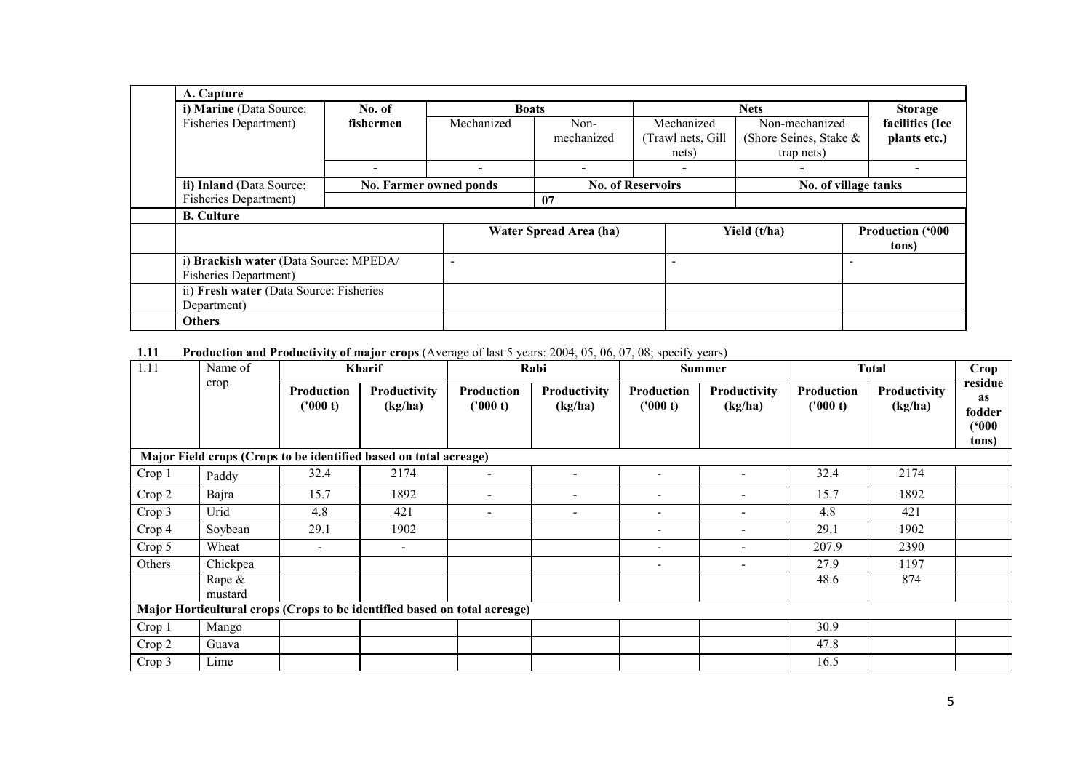| A. Capture                              |           |                          |                          |                          |                        |                          |
|-----------------------------------------|-----------|--------------------------|--------------------------|--------------------------|------------------------|--------------------------|
| i) Marine (Data Source:                 | No. of    | <b>Boats</b>             |                          |                          |                        | <b>Storage</b>           |
| <b>Fisheries Department</b> )           | fishermen | Mechanized               | Non-                     | Mechanized               | Non-mechanized         | facilities (Ice          |
|                                         |           |                          | mechanized               | (Trawl nets, Gill)       | (Shore Seines, Stake & | plants etc.)             |
|                                         |           |                          |                          | nets)                    | trap nets)             |                          |
|                                         |           | $\overline{\phantom{0}}$ | $\overline{\phantom{0}}$ |                          |                        |                          |
| ii) Inland (Data Source:                |           | No. Farmer owned ponds   |                          | <b>No. of Reservoirs</b> |                        | No. of village tanks     |
| <b>Fisheries Department)</b>            |           |                          | 07                       |                          |                        |                          |
| <b>B.</b> Culture                       |           |                          |                          |                          |                        |                          |
|                                         |           |                          | Water Spread Area (ha)   |                          | Yield (t/ha)           | <b>Production ('000)</b> |
|                                         |           |                          |                          |                          |                        | tons)                    |
| i) Brackish water (Data Source: MPEDA/  |           | $\overline{\phantom{0}}$ |                          |                          |                        |                          |
| <b>Fisheries Department</b> )           |           |                          |                          |                          |                        |                          |
| ii) Fresh water (Data Source: Fisheries |           |                          |                          |                          |                        |                          |
| Department)                             |           |                          |                          |                          |                        |                          |
| <b>Others</b>                           |           |                          |                          |                          |                        |                          |

1.11 Production and Productivity of major crops (Average of last 5 years: 2004, 05, 06, 07, 08; specify years)

| 1.11   | Name of              |                               | <b>Kharif</b>                                                             |                          | Rabi                           |                          | <b>Summer</b>                  |                               | <b>Total</b>            |                                           |
|--------|----------------------|-------------------------------|---------------------------------------------------------------------------|--------------------------|--------------------------------|--------------------------|--------------------------------|-------------------------------|-------------------------|-------------------------------------------|
|        | crop                 | <b>Production</b><br>('000 t) | Productivity<br>(kg/ha)                                                   | Production<br>('000 t)   | <b>Productivity</b><br>(kg/ha) | Production<br>('000 t)   | <b>Productivity</b><br>(kg/ha) | <b>Production</b><br>('000 t) | Productivity<br>(kg/ha) | residue<br>as<br>fodder<br>('000<br>tons) |
|        |                      |                               | Major Field crops (Crops to be identified based on total acreage)         |                          |                                |                          |                                |                               |                         |                                           |
| Crop 1 | Paddy                | 32.4                          | 2174                                                                      |                          |                                |                          |                                | 32.4                          | 2174                    |                                           |
| Crop 2 | Bajra                | 15.7                          | 1892                                                                      | $\overline{\phantom{a}}$ |                                | $\overline{\phantom{0}}$ |                                | 15.7                          | 1892                    |                                           |
| Crop 3 | Urid                 | 4.8                           | 421                                                                       | $\overline{\phantom{a}}$ | $\overline{\phantom{a}}$       | $\overline{\phantom{a}}$ | $\overline{\phantom{a}}$       | 4.8                           | 421                     |                                           |
| Crop 4 | Soybean              | 29.1                          | 1902                                                                      |                          |                                | $\overline{\phantom{0}}$ | $\overline{\phantom{a}}$       | 29.1                          | 1902                    |                                           |
| Crop 5 | Wheat                | $\overline{\phantom{a}}$      |                                                                           |                          |                                |                          | $\overline{\phantom{0}}$       | 207.9                         | 2390                    |                                           |
| Others | Chickpea             |                               |                                                                           |                          |                                |                          | $\overline{\phantom{a}}$       | 27.9                          | 1197                    |                                           |
|        | Rape $\&$<br>mustard |                               |                                                                           |                          |                                |                          |                                | 48.6                          | 874                     |                                           |
|        |                      |                               | Major Horticultural crops (Crops to be identified based on total acreage) |                          |                                |                          |                                |                               |                         |                                           |
| Crop 1 | Mango                |                               |                                                                           |                          |                                |                          |                                | 30.9                          |                         |                                           |
| Crop 2 | Guava                |                               |                                                                           |                          |                                |                          |                                | 47.8                          |                         |                                           |
| Crop 3 | Lime                 |                               |                                                                           |                          |                                |                          |                                | 16.5                          |                         |                                           |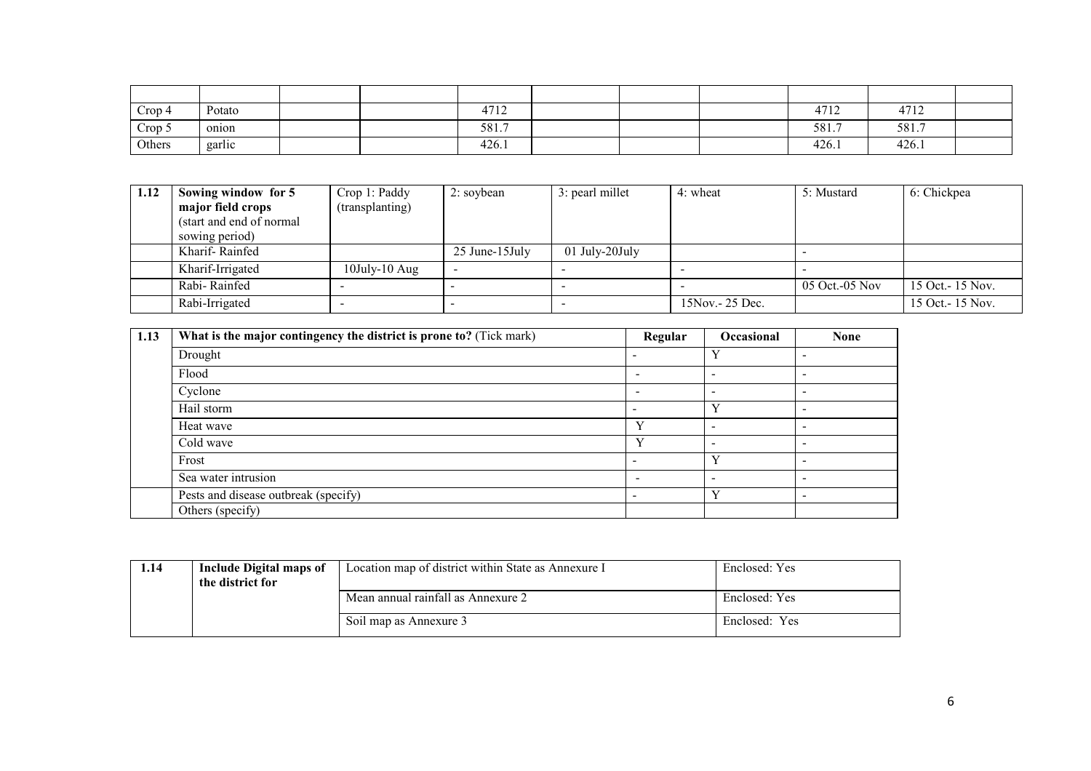| Crop <sub>4</sub> | Potato             |  | 1712<br>4/12 |  | 4712  | 4712  |  |
|-------------------|--------------------|--|--------------|--|-------|-------|--|
| Crop 5            | onion              |  | 581.7        |  | 581.7 | 581.7 |  |
| Others            | $\cdots$<br>garlic |  | 426.1        |  | 426.1 | 426.1 |  |

| 1.12 | Sowing window for 5       | Crop 1: Paddy       | 2: soybean      | 3: pearl millet  | 4: wheat         | 5: Mustard       | 6: Chickpea       |
|------|---------------------------|---------------------|-----------------|------------------|------------------|------------------|-------------------|
|      | major field crops         | (transplanting)     |                 |                  |                  |                  |                   |
|      | (start and end of normal) |                     |                 |                  |                  |                  |                   |
|      | sowing period)            |                     |                 |                  |                  |                  |                   |
|      | Kharif-Rainfed            |                     | 25 June-15 July | $01$ July-20July |                  |                  |                   |
|      | Kharif-Irrigated          | $10$ July- $10$ Aug |                 |                  |                  |                  |                   |
|      | Rabi-Rainfed              |                     |                 |                  |                  | $05$ Oct.-05 Nov | 15 Oct. - 15 Nov. |
|      | Rabi-Irrigated            |                     |                 | -                | 15Nov. - 25 Dec. |                  | 15 Oct. - 15 Nov. |

| 1.13 | What is the major contingency the district is prone to? (Tick mark) | Regular                  | Occasional | <b>None</b>     |
|------|---------------------------------------------------------------------|--------------------------|------------|-----------------|
|      | Drought                                                             |                          | Y          |                 |
|      | Flood                                                               | <b>100</b>               |            |                 |
|      | Cyclone                                                             |                          | -          |                 |
|      | Hail storm                                                          | $\overline{\phantom{0}}$ | Y          |                 |
|      | Heat wave                                                           | $\mathbf{v}$             |            |                 |
|      | Cold wave                                                           | $\mathbf{v}$             |            |                 |
|      | Frost                                                               | -                        | Y          |                 |
|      | Sea water intrusion                                                 |                          |            |                 |
|      | Pests and disease outbreak (specify)                                | $\overline{\phantom{0}}$ | Y          | $\qquad \qquad$ |
|      | Others (specify)                                                    |                          |            |                 |

| 1.14 | Include Digital maps of<br>the district for | Location map of district within State as Annexure I | Enclosed: Yes |
|------|---------------------------------------------|-----------------------------------------------------|---------------|
|      |                                             | Mean annual rainfall as Annexure 2                  | Enclosed: Yes |
|      |                                             | Soil map as Annexure 3                              | Enclosed: Yes |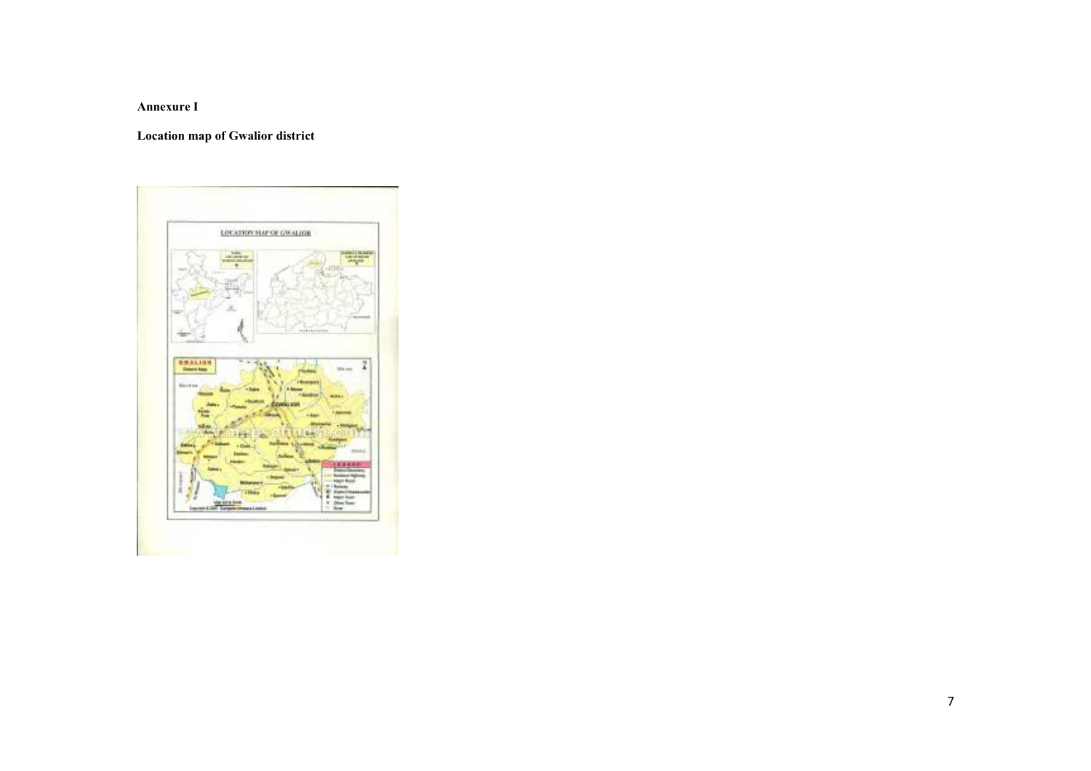Annexure I

Location map of Gwalior district

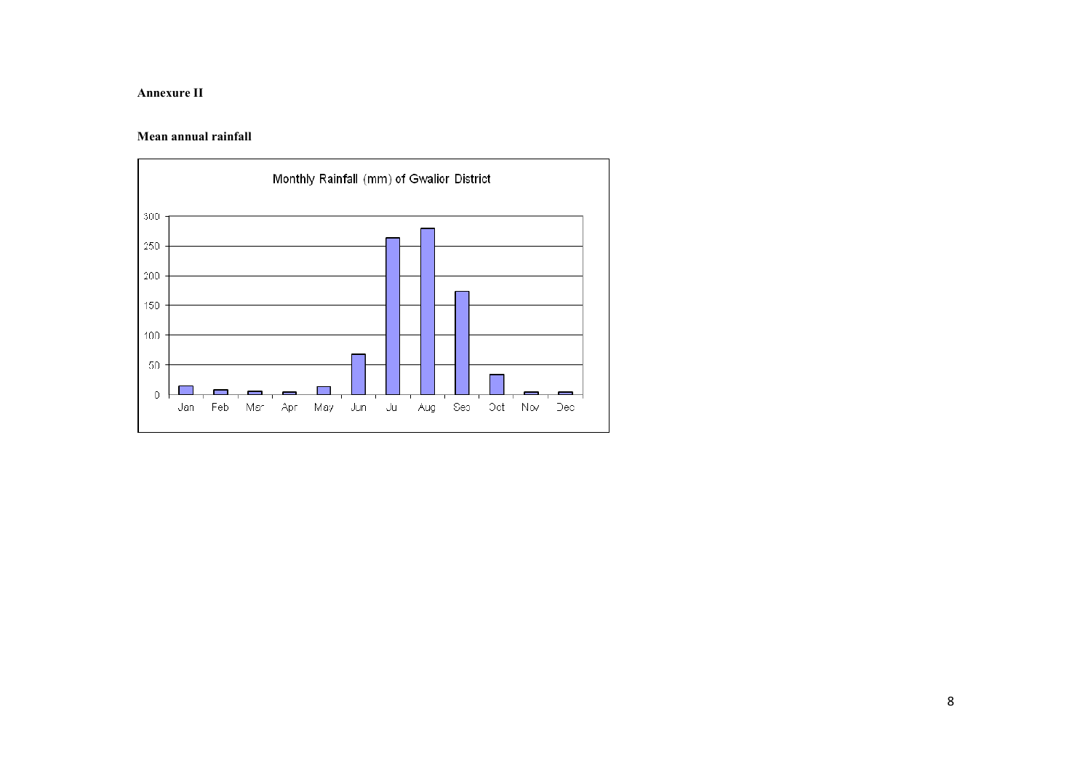#### Annexure II

#### Mean annual rainfall

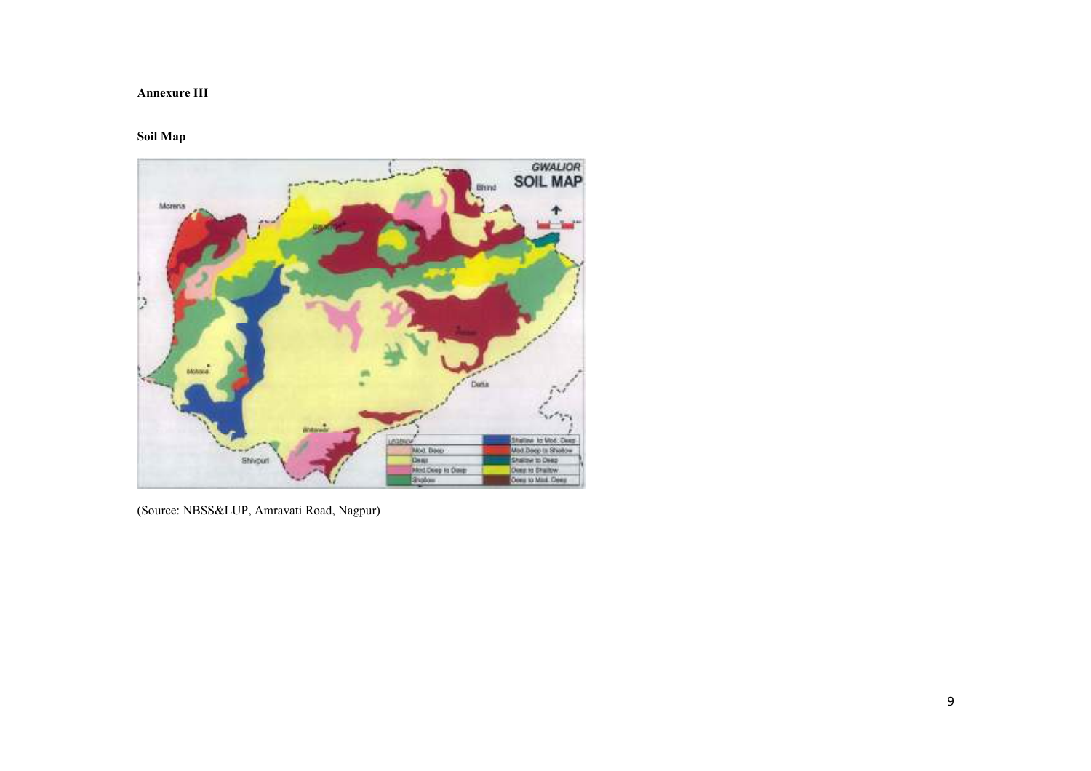#### Annexure III

#### Soil Map



(Source: NBSS&LUP, Amravati Road, Nagpur)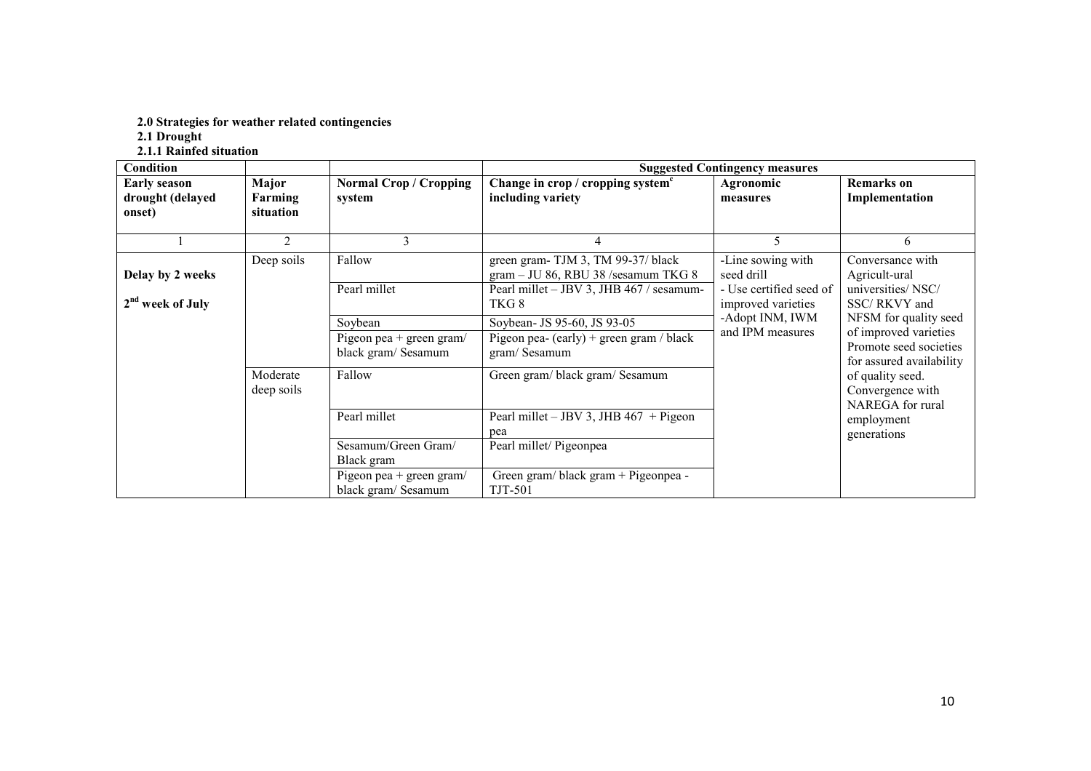# 2.0 Strategies for weather related contingencies 2.1 Drought 2.1.1 Rainfed situation

| <b>Condition</b>                                  |                               |                                                                                      |                                                                                                                                 | <b>Suggested Contingency measures</b>                                            |                                                                                                                                                                  |
|---------------------------------------------------|-------------------------------|--------------------------------------------------------------------------------------|---------------------------------------------------------------------------------------------------------------------------------|----------------------------------------------------------------------------------|------------------------------------------------------------------------------------------------------------------------------------------------------------------|
| <b>Early season</b><br>drought (delayed<br>onset) | Major<br>Farming<br>situation | <b>Normal Crop / Cropping</b><br>system                                              | Change in crop / cropping system <sup>c</sup><br>including variety                                                              | Agronomic<br>measures                                                            | <b>Remarks</b> on<br>Implementation                                                                                                                              |
|                                                   | 2                             | 3                                                                                    | 4                                                                                                                               | 5                                                                                | 6                                                                                                                                                                |
| Delay by 2 weeks<br>2 <sup>nd</sup> week of July  | Deep soils                    | Fallow<br>Pearl millet                                                               | green gram-TJM 3, TM 99-37/ black<br>$gram - JU$ 86, RBU 38 /sesamum TKG 8<br>Pearl millet - JBV 3, JHB 467 / sesamum-<br>TKG 8 | -Line sowing with<br>seed drill<br>- Use certified seed of<br>improved varieties | Conversance with<br>Agricult-ural<br>universities/NSC/<br>SSC/RKVY and                                                                                           |
|                                                   |                               | Soybean<br>Pigeon pea + green gram/<br>black gram/ Sesamum                           | Soybean- JS 95-60, JS 93-05<br>Pigeon pea- (early) + green gram / black<br>gram/Sesamum                                         | -Adopt INM, IWM<br>and IPM measures                                              | NFSM for quality seed<br>of improved varieties<br>Promote seed societies<br>for assured availability<br>of quality seed.<br>Convergence with<br>NAREGA for rural |
|                                                   | Moderate<br>deep soils        | Fallow                                                                               | Green gram/black gram/Sesamum                                                                                                   |                                                                                  |                                                                                                                                                                  |
|                                                   |                               | Pearl millet                                                                         | Pearl millet $-$ JBV 3, JHB 467 + Pigeon<br>pea                                                                                 |                                                                                  | employment<br>generations                                                                                                                                        |
|                                                   |                               | Sesamum/Green Gram/<br>Black gram<br>Pigeon pea + green gram/<br>black gram/ Sesamum | Pearl millet/ Pigeonpea<br>Green gram/black gram + Pigeonpea -<br><b>TJT-501</b>                                                |                                                                                  |                                                                                                                                                                  |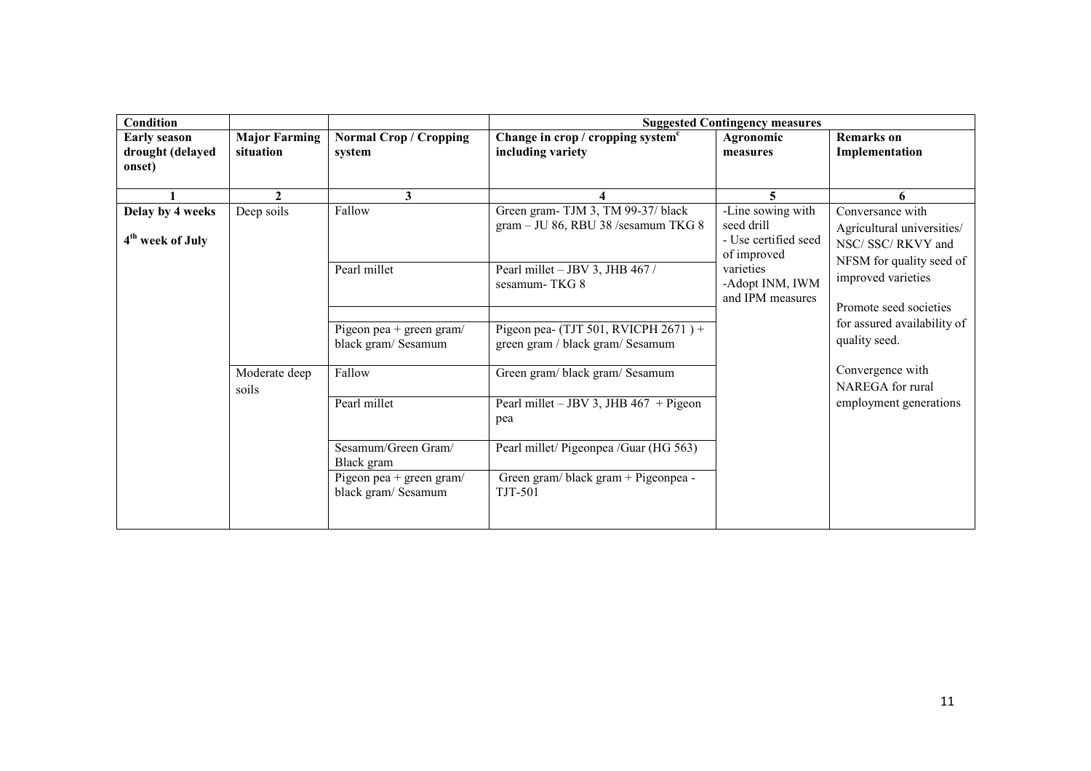| <b>Condition</b>                                  |                                                                                                                                                                                                                |                                                 |                                                                             | <b>Suggested Contingency measures</b>                                    |                                                                                                                |
|---------------------------------------------------|----------------------------------------------------------------------------------------------------------------------------------------------------------------------------------------------------------------|-------------------------------------------------|-----------------------------------------------------------------------------|--------------------------------------------------------------------------|----------------------------------------------------------------------------------------------------------------|
| <b>Early season</b><br>drought (delayed<br>onset) | <b>Major Farming</b><br>situation                                                                                                                                                                              | <b>Normal Crop / Cropping</b><br>system         | Change in crop / cropping system <sup>c</sup><br>including variety          | Agronomic<br>measures                                                    | <b>Remarks</b> on<br>Implementation                                                                            |
|                                                   | $\mathbf{2}$                                                                                                                                                                                                   | 3                                               | 4                                                                           |                                                                          | 6                                                                                                              |
| Delay by 4 weeks<br>4 <sup>th</sup> week of July  | Deep soils<br>Green gram-TJM 3, TM 99-37/ black<br>Fallow<br>gram - JU 86, RBU 38 /sesamum TKG 8<br>seed drill<br>of improved<br>Pearl millet<br>varieties<br>Pearl millet - JBV 3, JHB 467 /<br>sesamum-TKG 8 | -Line sowing with<br>- Use certified seed       | Conversance with<br>Agricultural universities/<br>NSC/ SSC/ RKVY and        |                                                                          |                                                                                                                |
|                                                   |                                                                                                                                                                                                                |                                                 | -Adopt INM, IWM<br>and IPM measures                                         | NFSM for quality seed of<br>improved varieties<br>Promote seed societies |                                                                                                                |
|                                                   |                                                                                                                                                                                                                | Pigeon pea + green gram/<br>black gram/ Sesamum | Pigeon pea- (TJT 501, RVICPH $2671$ ) +<br>green gram / black gram/ Sesamum |                                                                          | for assured availability of<br>quality seed.<br>Convergence with<br>NAREGA for rural<br>employment generations |
|                                                   | Moderate deep<br>soils                                                                                                                                                                                         | Fallow                                          | Green gram/black gram/Sesamum                                               |                                                                          |                                                                                                                |
|                                                   |                                                                                                                                                                                                                | Pearl millet                                    | Pearl millet – JBV 3, JHB $467 +$ Pigeon<br>pea                             |                                                                          |                                                                                                                |
|                                                   |                                                                                                                                                                                                                | Sesamum/Green Gram/<br>Black gram               | Pearl millet/ Pigeonpea / Guar (HG 563)                                     |                                                                          |                                                                                                                |
|                                                   |                                                                                                                                                                                                                | Pigeon pea + green gram/<br>black gram/ Sesamum | Green gram/black gram + Pigeonpea -<br>TJT-501                              |                                                                          |                                                                                                                |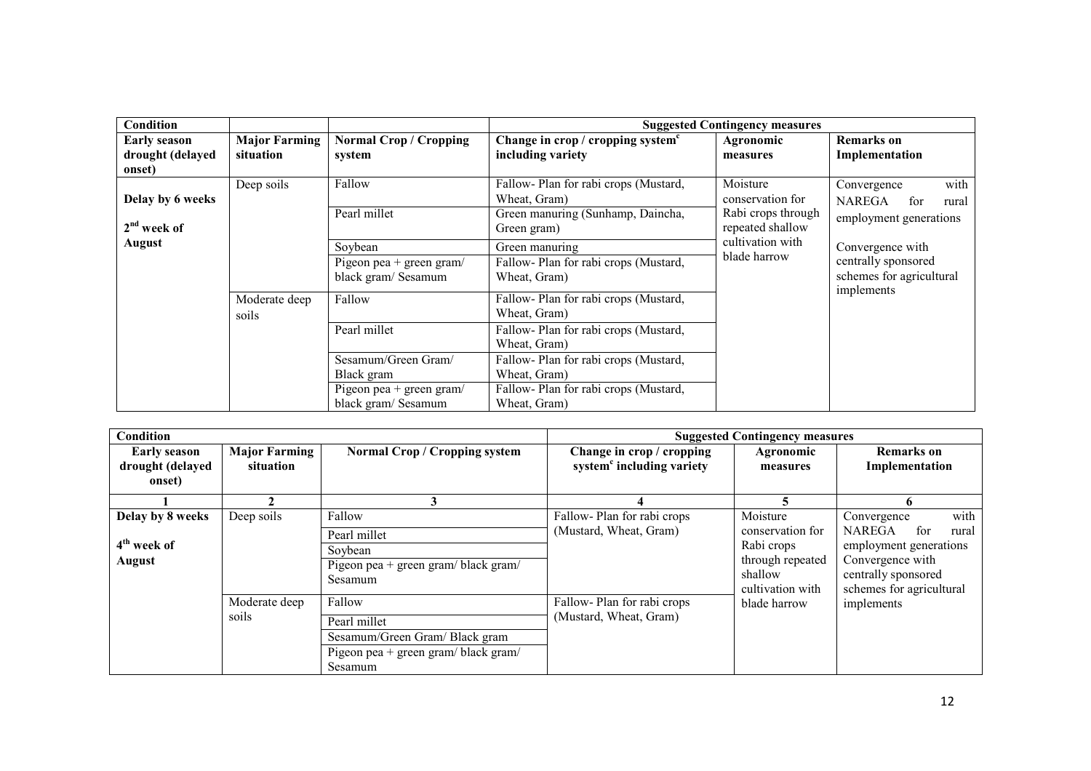| Condition                                                                                                     |                                      |                                                 |                                                                     | <b>Suggested Contingency measures</b>  |                                                      |  |  |                        |
|---------------------------------------------------------------------------------------------------------------|--------------------------------------|-------------------------------------------------|---------------------------------------------------------------------|----------------------------------------|------------------------------------------------------|--|--|------------------------|
| <b>Early season</b><br>drought (delayed<br>onset)                                                             | <b>Major Farming</b><br>situation    | <b>Normal Crop / Cropping</b><br>system         | Change in crop / cropping system <sup>c</sup><br>including variety  | Agronomic<br>measures                  | <b>Remarks</b> on<br>Implementation                  |  |  |                        |
| Delay by 6 weeks                                                                                              | Deep soils                           | Fallow                                          | Fallow-Plan for rabi crops (Mustard,<br>Wheat, Gram)                | Moisture<br>conservation for           | with<br>Convergence<br><b>NAREGA</b><br>for<br>rural |  |  |                        |
| $2nd$ week of                                                                                                 |                                      | Pearl millet                                    | Green manuring (Sunhamp, Daincha,<br>Green gram)                    | Rabi crops through<br>repeated shallow |                                                      |  |  | employment generations |
| <b>August</b><br>Soybean<br>Green manuring<br>Pigeon pea + green gram/<br>black gram/ Sesamum<br>Wheat, Gram) | Fallow-Plan for rabi crops (Mustard, | cultivation with<br>blade harrow                | Convergence with<br>centrally sponsored<br>schemes for agricultural |                                        |                                                      |  |  |                        |
|                                                                                                               | Moderate deep<br>soils               | Fallow                                          | Fallow-Plan for rabi crops (Mustard,<br>Wheat, Gram)                |                                        | implements                                           |  |  |                        |
|                                                                                                               |                                      | Pearl millet                                    | Fallow-Plan for rabi crops (Mustard,<br>Wheat, Gram)                |                                        |                                                      |  |  |                        |
|                                                                                                               |                                      | Sesamum/Green Gram/<br>Black gram               | Fallow-Plan for rabi crops (Mustard,<br>Wheat, Gram)                |                                        |                                                      |  |  |                        |
|                                                                                                               |                                      | Pigeon pea + green gram/<br>black gram/ Sesamum | Fallow-Plan for rabi crops (Mustard,<br>Wheat, Gram)                |                                        |                                                      |  |  |                        |

| <b>Condition</b>                                  |                                   |                                                 |                                                                    | <b>Suggested Contingency measures</b>                                                             |                                                                                                                                |
|---------------------------------------------------|-----------------------------------|-------------------------------------------------|--------------------------------------------------------------------|---------------------------------------------------------------------------------------------------|--------------------------------------------------------------------------------------------------------------------------------|
| <b>Early season</b><br>drought (delayed<br>onset) | <b>Major Farming</b><br>situation | <b>Normal Crop / Cropping system</b>            | Change in crop / cropping<br>system <sup>c</sup> including variety | Agronomic<br>measures                                                                             | Remarks on<br>Implementation                                                                                                   |
|                                                   |                                   | 3                                               |                                                                    |                                                                                                   | 6                                                                                                                              |
| Delay by 8 weeks                                  | Deep soils                        | Fallow                                          | Fallow-Plan for rabi crops                                         | Moisture                                                                                          | with<br>Convergence                                                                                                            |
|                                                   |                                   | Pearl millet                                    | (Mustard, Wheat, Gram)                                             | conservation for<br>Rabi crops<br>through repeated<br>shallow<br>cultivation with<br>blade harrow | <b>NAREGA</b><br>for<br>rural<br>employment generations<br>Convergence with<br>centrally sponsored<br>schemes for agricultural |
| 4 <sup>th</sup> week of                           |                                   | Soybean                                         |                                                                    |                                                                                                   |                                                                                                                                |
| <b>August</b>                                     |                                   | Pigeon pea + green gram/ black gram/<br>Sesamum |                                                                    |                                                                                                   |                                                                                                                                |
|                                                   | Moderate deep                     | Fallow                                          | Fallow-Plan for rabi crops                                         |                                                                                                   | implements                                                                                                                     |
|                                                   | soils                             | Pearl millet                                    | (Mustard, Wheat, Gram)                                             |                                                                                                   |                                                                                                                                |
|                                                   |                                   | Sesamum/Green Gram/Black gram                   |                                                                    |                                                                                                   |                                                                                                                                |
|                                                   |                                   | Pigeon pea + green gram/ black gram/            |                                                                    |                                                                                                   |                                                                                                                                |
|                                                   |                                   | Sesamum                                         |                                                                    |                                                                                                   |                                                                                                                                |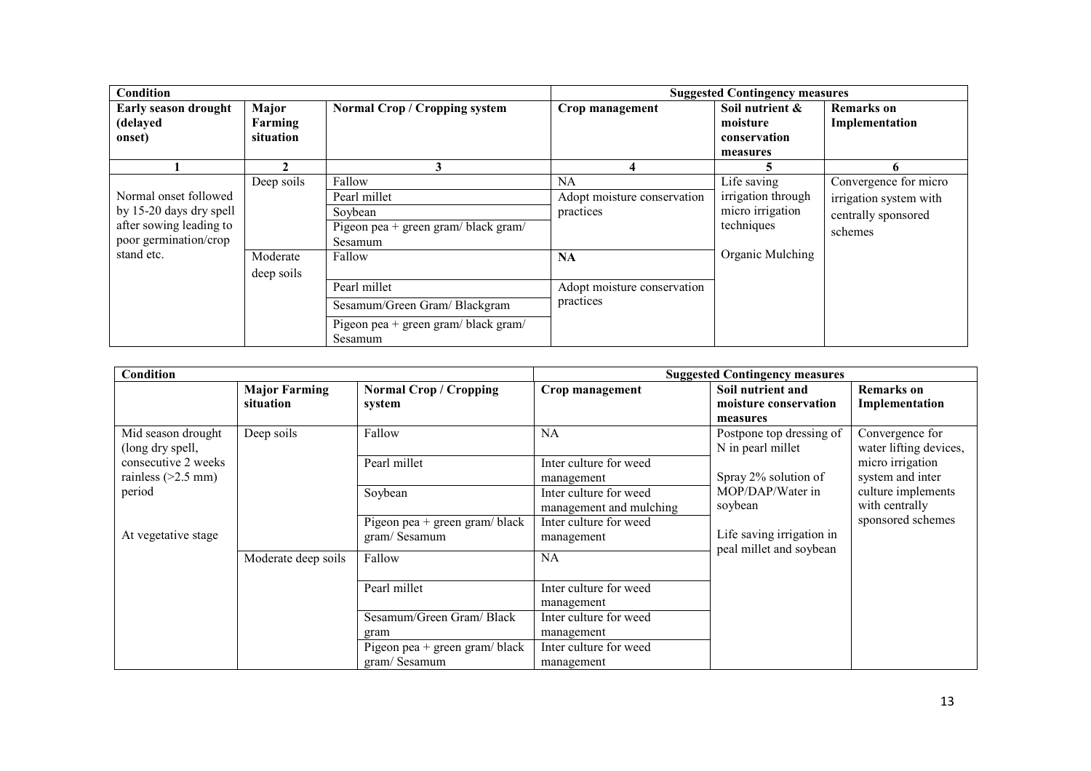| Condition                                                                                                          |                                      |                                                                                                 |                                                             | <b>Suggested Contingency measures</b>                                                   |                                                                                   |
|--------------------------------------------------------------------------------------------------------------------|--------------------------------------|-------------------------------------------------------------------------------------------------|-------------------------------------------------------------|-----------------------------------------------------------------------------------------|-----------------------------------------------------------------------------------|
| Early season drought<br>(delayed<br>onset)                                                                         | Major<br>Farming<br>situation        | <b>Normal Crop / Cropping system</b>                                                            | Crop management                                             | Soil nutrient &<br>moisture<br>conservation<br>measures                                 | <b>Remarks</b> on<br>Implementation                                               |
|                                                                                                                    |                                      |                                                                                                 |                                                             |                                                                                         | o                                                                                 |
| Normal onset followed<br>by 15-20 days dry spell<br>after sowing leading to<br>poor germination/crop<br>stand etc. | Deep soils<br>Moderate<br>deep soils | Fallow<br>Pearl millet<br>Soybean<br>Pigeon pea + green gram/ black gram/<br>Sesamum<br>Fallow  | NA<br>Adopt moisture conservation<br>practices<br><b>NA</b> | Life saving<br>irrigation through<br>micro irrigation<br>techniques<br>Organic Mulching | Convergence for micro<br>irrigation system with<br>centrally sponsored<br>schemes |
|                                                                                                                    |                                      | Pearl millet<br>Sesamum/Green Gram/Blackgram<br>Pigeon pea + green gram/ black gram/<br>Sesamum | Adopt moisture conservation<br>practices                    |                                                                                         |                                                                                   |

| Condition                                   |                                   |                                                | <b>Suggested Contingency measures</b>             |                                                        |                                           |
|---------------------------------------------|-----------------------------------|------------------------------------------------|---------------------------------------------------|--------------------------------------------------------|-------------------------------------------|
|                                             | <b>Major Farming</b><br>situation | <b>Normal Crop / Cropping</b><br>system        | Crop management                                   | Soil nutrient and<br>moisture conservation<br>measures | <b>Remarks</b> on<br>Implementation       |
| Mid season drought<br>(long dry spell,      | Deep soils                        | Fallow                                         | NA                                                | Postpone top dressing of<br>N in pearl millet          | Convergence for<br>water lifting devices, |
| consecutive 2 weeks<br>rainless $(>2.5$ mm) |                                   | Pearl millet                                   | Inter culture for weed<br>management              | Spray 2% solution of                                   | micro irrigation<br>system and inter      |
| period                                      |                                   | Soybean                                        | Inter culture for weed<br>management and mulching | MOP/DAP/Water in<br>soybean                            | culture implements<br>with centrally      |
| At vegetative stage                         |                                   | Pigeon pea + green gram/ black<br>gram/Sesamum | Inter culture for weed<br>management              | Life saving irrigation in<br>peal millet and soybean   | sponsored schemes                         |
|                                             | Moderate deep soils               | Fallow                                         | NA                                                |                                                        |                                           |
|                                             |                                   | Pearl millet                                   | Inter culture for weed<br>management              |                                                        |                                           |
|                                             |                                   | Sesamum/Green Gram/Black                       | Inter culture for weed                            |                                                        |                                           |
|                                             |                                   | gram                                           | management                                        |                                                        |                                           |
|                                             |                                   | Pigeon pea + green gram/ $black$               | Inter culture for weed                            |                                                        |                                           |
|                                             |                                   | gram/Sesamum                                   | management                                        |                                                        |                                           |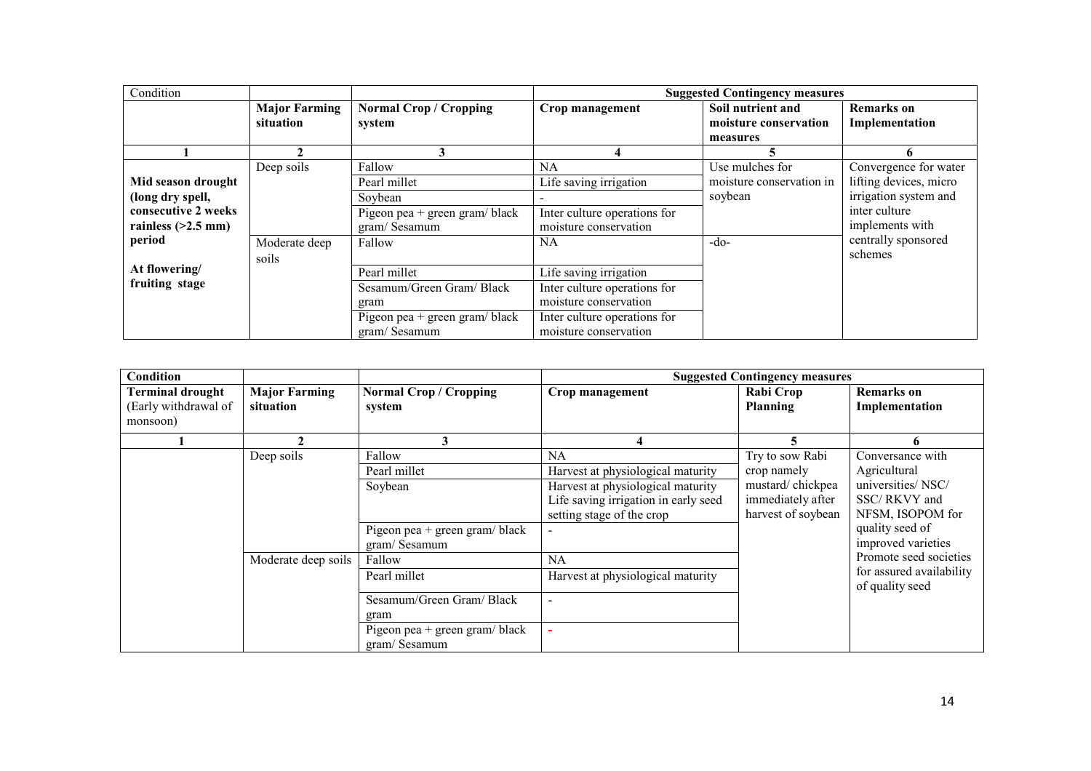| Condition            |                      |                                  | <b>Suggested Contingency measures</b> |                          |                        |  |
|----------------------|----------------------|----------------------------------|---------------------------------------|--------------------------|------------------------|--|
|                      | <b>Major Farming</b> | <b>Normal Crop / Cropping</b>    | Crop management                       | Soil nutrient and        | <b>Remarks</b> on      |  |
|                      | situation            | system                           |                                       | moisture conservation    | Implementation         |  |
|                      |                      |                                  |                                       | measures                 |                        |  |
|                      |                      |                                  |                                       |                          |                        |  |
|                      | Deep soils           | Fallow                           | NA.                                   | Use mulches for          | Convergence for water  |  |
| Mid season drought   |                      | Pearl millet                     | Life saving irrigation                | moisture conservation in | lifting devices, micro |  |
| (long dry spell,     |                      | Soybean                          |                                       | soybean                  | irrigation system and  |  |
| consecutive 2 weeks  |                      | Pigeon pea + green gram/ $black$ | Inter culture operations for          |                          | inter culture          |  |
| rainless $(>2.5$ mm) |                      | gram/Sesamum                     | moisture conservation                 |                          | implements with        |  |
| period               | Moderate deep        | Fallow                           | NA.                                   | $-do-$                   | centrally sponsored    |  |
|                      | soils                |                                  |                                       |                          | schemes                |  |
| At flowering/        |                      | Pearl millet                     | Life saving irrigation                |                          |                        |  |
| fruiting stage       |                      | Sesamum/Green Gram/Black         | Inter culture operations for          |                          |                        |  |
|                      |                      | gram                             | moisture conservation                 |                          |                        |  |
|                      |                      | Pigeon pea + green gram/black    | Inter culture operations for          |                          |                        |  |
|                      |                      | gram/Sesamum                     | moisture conservation                 |                          |                        |  |

| Condition               |                      |                                  |                                      | <b>Suggested Contingency measures</b> |                                             |
|-------------------------|----------------------|----------------------------------|--------------------------------------|---------------------------------------|---------------------------------------------|
| <b>Terminal drought</b> | <b>Major Farming</b> | <b>Normal Crop / Cropping</b>    | <b>Crop management</b>               | Rabi Crop                             | Remarks on                                  |
| (Early withdrawal of    | situation            | system                           |                                      | Planning                              | Implementation                              |
| monsoon)                |                      |                                  |                                      |                                       |                                             |
|                         |                      | 3                                | 4                                    |                                       |                                             |
|                         | Deep soils           | Fallow                           | NA                                   | Try to sow Rabi                       | Conversance with                            |
|                         |                      | Pearl millet                     | Harvest at physiological maturity    | crop namely                           | Agricultural                                |
|                         |                      | Soybean                          | Harvest at physiological maturity    | mustard/chickpea                      | universities/NSC/                           |
|                         |                      |                                  | Life saving irrigation in early seed | immediately after                     | SSC/RKVY and                                |
|                         |                      |                                  | setting stage of the crop            | harvest of soybean                    | NFSM, ISOPOM for                            |
|                         |                      | Pigeon pea + green gram/ $black$ | $\qquad \qquad -$                    |                                       | quality seed of                             |
|                         |                      | gram/Sesamum                     |                                      |                                       | improved varieties                          |
|                         | Moderate deep soils  | Fallow                           | <b>NA</b>                            |                                       | Promote seed societies                      |
|                         |                      | Pearl millet                     | Harvest at physiological maturity    |                                       | for assured availability<br>of quality seed |
|                         |                      | Sesamum/Green Gram/Black         |                                      |                                       |                                             |
|                         |                      | gram                             |                                      |                                       |                                             |
|                         |                      | Pigeon pea + green gram/black    |                                      |                                       |                                             |
|                         |                      | gram/Sesamum                     |                                      |                                       |                                             |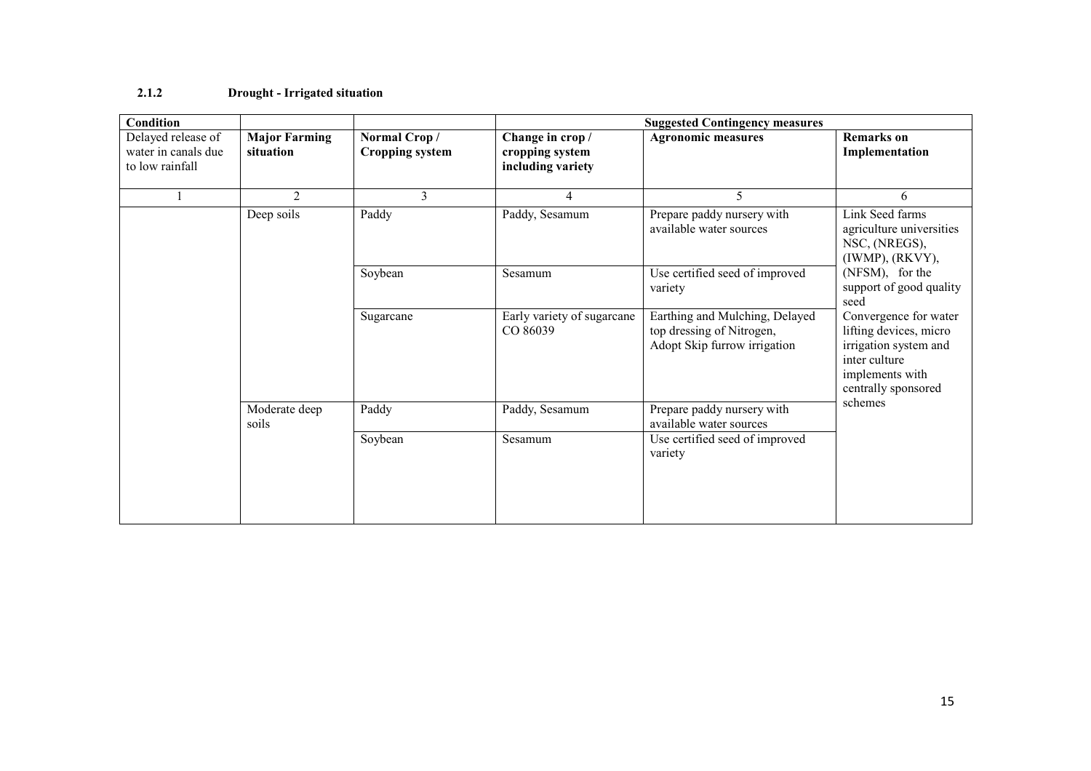#### 2.1.2 Drought - Irrigated situation

| <b>Condition</b>                                             |                                   |                                        | <b>Suggested Contingency measures</b>                   |                                                                                             |                                                                                                                                     |  |
|--------------------------------------------------------------|-----------------------------------|----------------------------------------|---------------------------------------------------------|---------------------------------------------------------------------------------------------|-------------------------------------------------------------------------------------------------------------------------------------|--|
| Delayed release of<br>water in canals due<br>to low rainfall | <b>Major Farming</b><br>situation | Normal Crop/<br><b>Cropping system</b> | Change in crop/<br>cropping system<br>including variety | <b>Agronomic measures</b>                                                                   | <b>Remarks</b> on<br>Implementation                                                                                                 |  |
|                                                              | $\overline{2}$                    | $\overline{3}$                         | $\overline{4}$                                          | 5                                                                                           | 6                                                                                                                                   |  |
|                                                              | Deep soils                        | Paddy                                  | Paddy, Sesamum                                          | Prepare paddy nursery with<br>available water sources                                       | Link Seed farms<br>agriculture universities<br>NSC, (NREGS),<br>(IWMP), (RKVY),                                                     |  |
|                                                              |                                   | Soybean                                | Sesamum                                                 | Use certified seed of improved<br>variety                                                   | (NFSM), for the<br>support of good quality<br>seed                                                                                  |  |
|                                                              |                                   | Sugarcane                              | Early variety of sugarcane<br>CO 86039                  | Earthing and Mulching, Delayed<br>top dressing of Nitrogen,<br>Adopt Skip furrow irrigation | Convergence for water<br>lifting devices, micro<br>irrigation system and<br>inter culture<br>implements with<br>centrally sponsored |  |
|                                                              | Moderate deep<br>soils            | Paddy                                  | Paddy, Sesamum                                          | Prepare paddy nursery with<br>available water sources                                       | schemes                                                                                                                             |  |
|                                                              |                                   | Soybean                                | Sesamum                                                 | Use certified seed of improved<br>variety                                                   |                                                                                                                                     |  |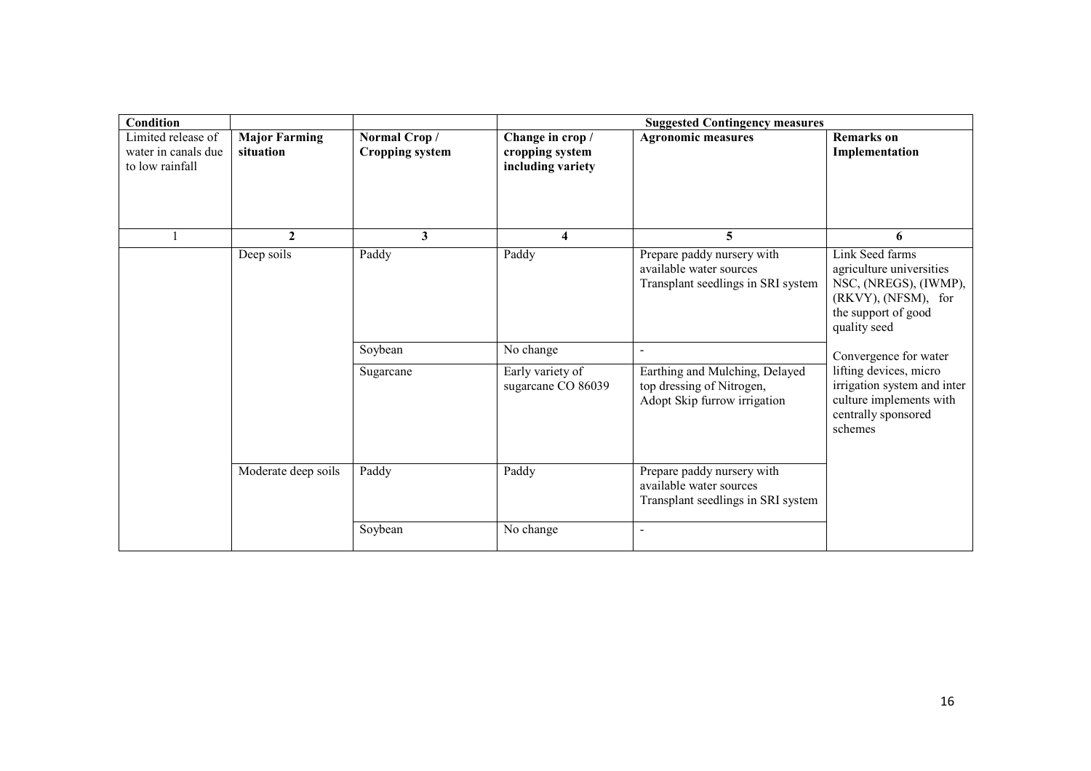| <b>Condition</b>                                             |                                   |                                        |                                                          | <b>Suggested Contingency measures</b>                                                       |                                                                                                                                    |
|--------------------------------------------------------------|-----------------------------------|----------------------------------------|----------------------------------------------------------|---------------------------------------------------------------------------------------------|------------------------------------------------------------------------------------------------------------------------------------|
| Limited release of<br>water in canals due<br>to low rainfall | <b>Major Farming</b><br>situation | Normal Crop/<br><b>Cropping system</b> | Change in crop /<br>cropping system<br>including variety | <b>Agronomic measures</b>                                                                   | <b>Remarks</b> on<br>Implementation                                                                                                |
|                                                              | $\mathbf{2}$                      | $\mathbf{3}$                           | 4                                                        | 5                                                                                           | 6                                                                                                                                  |
|                                                              | Deep soils                        | Paddy                                  | Paddy                                                    | Prepare paddy nursery with<br>available water sources<br>Transplant seedlings in SRI system | Link Seed farms<br>agriculture universities<br>NSC, (NREGS), (IWMP),<br>(RKVY), (NFSM), for<br>the support of good<br>quality seed |
|                                                              |                                   | Soybean                                | No change                                                | $\blacksquare$                                                                              | Convergence for water                                                                                                              |
|                                                              |                                   | Sugarcane                              | Early variety of<br>sugarcane CO 86039                   | Earthing and Mulching, Delayed<br>top dressing of Nitrogen,<br>Adopt Skip furrow irrigation | lifting devices, micro<br>irrigation system and inter<br>culture implements with<br>centrally sponsored<br>schemes                 |
|                                                              | Moderate deep soils               | Paddy                                  | Paddy                                                    | Prepare paddy nursery with<br>available water sources<br>Transplant seedlings in SRI system |                                                                                                                                    |
|                                                              |                                   | Soybean                                | No change                                                | $\blacksquare$                                                                              |                                                                                                                                    |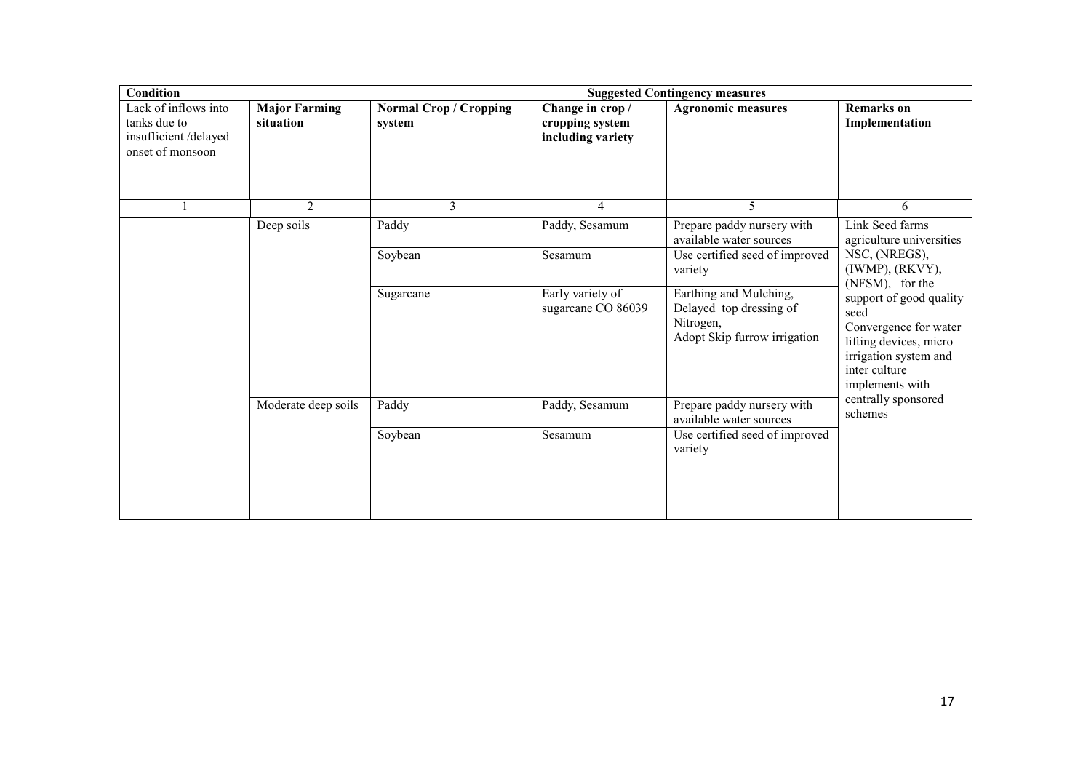| <b>Condition</b>                                                                 |                                   |                                         | <b>Suggested Contingency measures</b>                    |                                                                                                |                                                                                                                                                 |
|----------------------------------------------------------------------------------|-----------------------------------|-----------------------------------------|----------------------------------------------------------|------------------------------------------------------------------------------------------------|-------------------------------------------------------------------------------------------------------------------------------------------------|
| Lack of inflows into<br>tanks due to<br>insufficient/delayed<br>onset of monsoon | <b>Major Farming</b><br>situation | <b>Normal Crop / Cropping</b><br>system | Change in crop /<br>cropping system<br>including variety | <b>Agronomic measures</b>                                                                      | <b>Remarks</b> on<br>Implementation                                                                                                             |
|                                                                                  | 2                                 | 3                                       | 4                                                        | 5                                                                                              | 6                                                                                                                                               |
|                                                                                  | Deep soils                        | Paddy                                   | Paddy, Sesamum                                           | Prepare paddy nursery with<br>available water sources                                          | Link Seed farms<br>agriculture universities                                                                                                     |
|                                                                                  |                                   | Soybean                                 | Sesamum                                                  | Use certified seed of improved<br>variety                                                      | NSC, (NREGS),<br>(IWMP), (RKVY),<br>(NFSM), for the                                                                                             |
|                                                                                  |                                   | Sugarcane                               | Early variety of<br>sugarcane CO 86039                   | Earthing and Mulching,<br>Delayed top dressing of<br>Nitrogen,<br>Adopt Skip furrow irrigation | support of good quality<br>seed<br>Convergence for water<br>lifting devices, micro<br>irrigation system and<br>inter culture<br>implements with |
|                                                                                  | Moderate deep soils               | Paddy                                   | Paddy, Sesamum                                           | Prepare paddy nursery with<br>available water sources                                          | centrally sponsored<br>schemes                                                                                                                  |
|                                                                                  |                                   | Soybean                                 | Sesamum                                                  | Use certified seed of improved<br>variety                                                      |                                                                                                                                                 |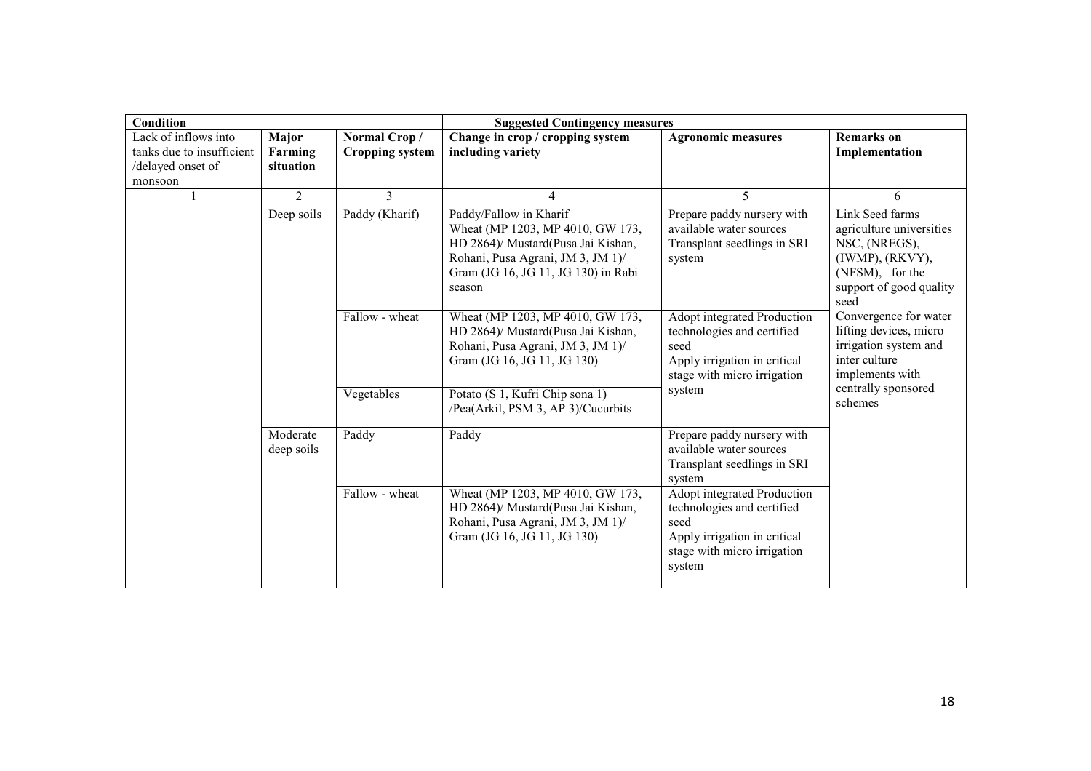| <b>Condition</b>                                                                  |                               |                                                                                                                                            | <b>Suggested Contingency measures</b>                                                                                                                                                                                                            |                                                                                                                                            |                                                                                                                                             |  |
|-----------------------------------------------------------------------------------|-------------------------------|--------------------------------------------------------------------------------------------------------------------------------------------|--------------------------------------------------------------------------------------------------------------------------------------------------------------------------------------------------------------------------------------------------|--------------------------------------------------------------------------------------------------------------------------------------------|---------------------------------------------------------------------------------------------------------------------------------------------|--|
| Lack of inflows into<br>tanks due to insufficient<br>/delayed onset of<br>monsoon | Major<br>Farming<br>situation | Normal Crop/<br><b>Cropping system</b>                                                                                                     | Change in crop / cropping system<br>including variety                                                                                                                                                                                            | <b>Agronomic measures</b>                                                                                                                  | <b>Remarks</b> on<br>Implementation                                                                                                         |  |
|                                                                                   | $\overline{2}$                | 3                                                                                                                                          | 4                                                                                                                                                                                                                                                | 5                                                                                                                                          | 6                                                                                                                                           |  |
|                                                                                   | Deep soils                    | Paddy (Kharif)                                                                                                                             | Paddy/Fallow in Kharif<br>Wheat (MP 1203, MP 4010, GW 173,<br>HD 2864)/ Mustard(Pusa Jai Kishan,<br>Rohani, Pusa Agrani, JM 3, JM 1)/<br>Gram (JG 16, JG 11, JG 130) in Rabi<br>season                                                           | Prepare paddy nursery with<br>available water sources<br>Transplant seedlings in SRI<br>system                                             | Link Seed farms<br>agriculture universities<br>NSC, (NREGS),<br>$(IWMP)$ , $(RKVY)$ ,<br>(NFSM), for the<br>support of good quality<br>seed |  |
|                                                                                   | Fallow - wheat                | Wheat (MP 1203, MP 4010, GW 173,<br>HD 2864)/ Mustard(Pusa Jai Kishan,<br>Rohani, Pusa Agrani, JM 3, JM 1)/<br>Gram (JG 16, JG 11, JG 130) | Convergence for water<br>Adopt integrated Production<br>lifting devices, micro<br>technologies and certified<br>irrigation system and<br>seed<br>inter culture<br>Apply irrigation in critical<br>implements with<br>stage with micro irrigation |                                                                                                                                            |                                                                                                                                             |  |
|                                                                                   |                               | Vegetables                                                                                                                                 | Potato (S 1, Kufri Chip sona 1)<br>/Pea(Arkil, PSM 3, AP 3)/Cucurbits                                                                                                                                                                            | system                                                                                                                                     | centrally sponsored<br>schemes                                                                                                              |  |
|                                                                                   | Moderate<br>deep soils        | Paddy                                                                                                                                      | Paddy                                                                                                                                                                                                                                            | Prepare paddy nursery with<br>available water sources<br>Transplant seedlings in SRI<br>system                                             |                                                                                                                                             |  |
|                                                                                   |                               | Fallow - wheat                                                                                                                             | Wheat (MP 1203, MP 4010, GW 173,<br>HD 2864)/ Mustard(Pusa Jai Kishan,<br>Rohani, Pusa Agrani, JM 3, JM 1)/<br>Gram (JG 16, JG 11, JG 130)                                                                                                       | Adopt integrated Production<br>technologies and certified<br>seed<br>Apply irrigation in critical<br>stage with micro irrigation<br>system |                                                                                                                                             |  |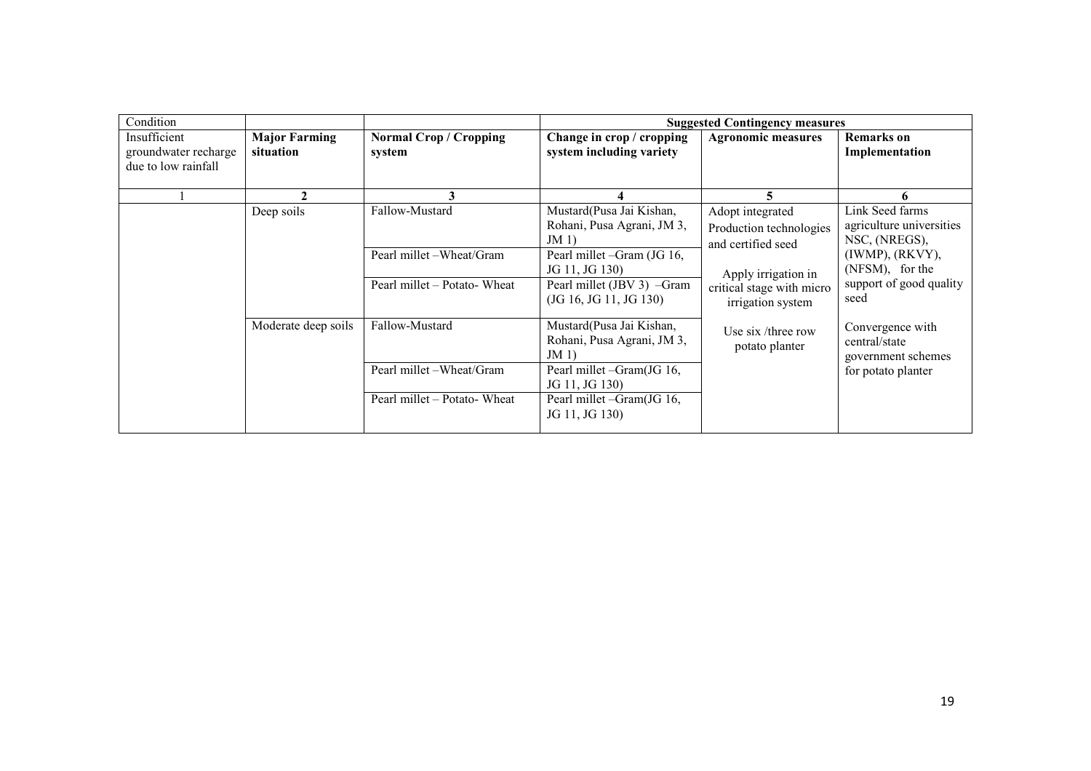| Condition                                                   |                                   |                                         | <b>Suggested Contingency measures</b>                           |                                                                   |                                                              |  |  |
|-------------------------------------------------------------|-----------------------------------|-----------------------------------------|-----------------------------------------------------------------|-------------------------------------------------------------------|--------------------------------------------------------------|--|--|
| Insufficient<br>groundwater recharge<br>due to low rainfall | <b>Major Farming</b><br>situation | <b>Normal Crop / Cropping</b><br>system | Change in crop / cropping<br>system including variety           | <b>Agronomic measures</b>                                         | Remarks on<br>Implementation                                 |  |  |
|                                                             |                                   |                                         |                                                                 |                                                                   |                                                              |  |  |
|                                                             | Deep soils                        | Fallow-Mustard                          | Mustard(Pusa Jai Kishan,<br>Rohani, Pusa Agrani, JM 3,<br>JM(1) | Adopt integrated<br>Production technologies<br>and certified seed | Link Seed farms<br>agriculture universities<br>NSC, (NREGS), |  |  |
|                                                             |                                   | Pearl millet - Wheat/Gram               | Pearl millet -Gram (JG 16,<br>JG 11, JG 130)                    | Apply irrigation in                                               | $(IWMP)$ , $(RKVY)$ ,<br>(NFSM), for the                     |  |  |
|                                                             |                                   | Pearl millet - Potato- Wheat            | Pearl millet (JBV 3) -Gram<br>(JG 16, JG 11, JG 130)            | critical stage with micro<br>irrigation system                    | support of good quality<br>seed                              |  |  |
|                                                             | Moderate deep soils               | Fallow-Mustard                          | Mustard(Pusa Jai Kishan,<br>Rohani, Pusa Agrani, JM 3,<br>JM(1) | Use $\sin$ /three row<br>potato planter                           | Convergence with<br>central/state<br>government schemes      |  |  |
|                                                             |                                   | Pearl millet -Wheat/Gram                | Pearl millet -Gram(JG 16,<br>JG 11, JG 130)                     |                                                                   | for potato planter                                           |  |  |
|                                                             |                                   | Pearl millet – Potato- Wheat            | Pearl millet -Gram(JG 16,<br>JG 11, JG 130)                     |                                                                   |                                                              |  |  |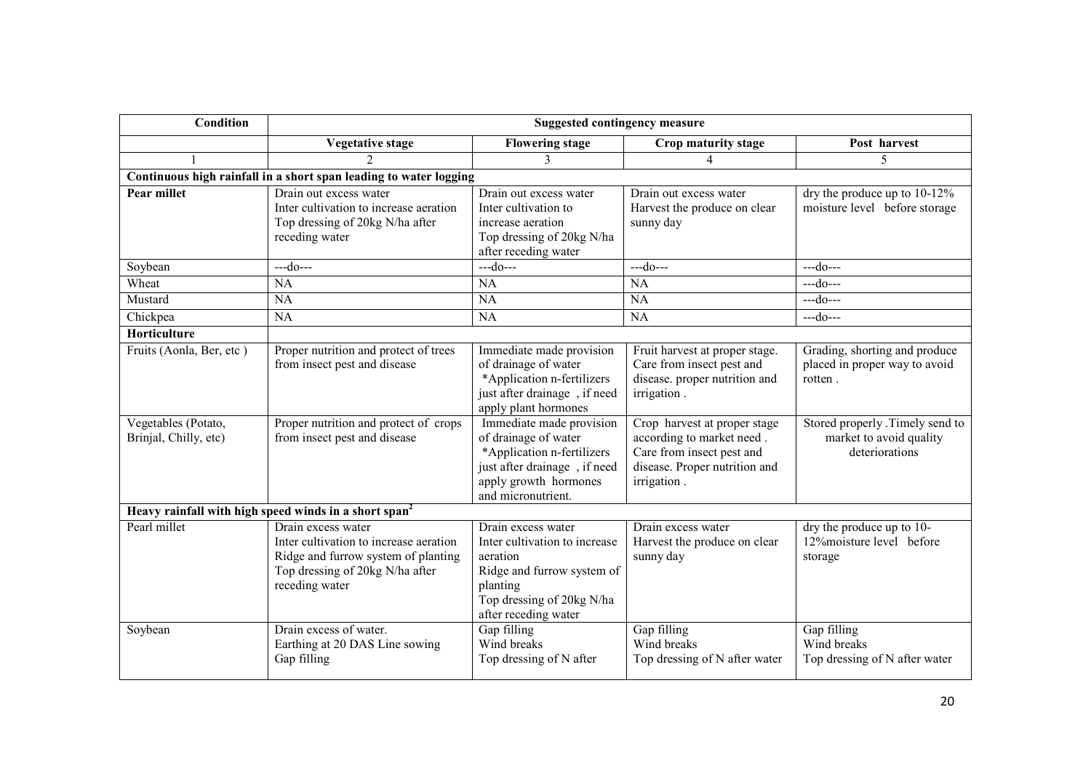| <b>Condition</b>                             | <b>Suggested contingency measure</b>                                                                                                                     |                                                                                                                                                                |                                                                                                                                        |                                                                              |  |
|----------------------------------------------|----------------------------------------------------------------------------------------------------------------------------------------------------------|----------------------------------------------------------------------------------------------------------------------------------------------------------------|----------------------------------------------------------------------------------------------------------------------------------------|------------------------------------------------------------------------------|--|
|                                              | <b>Vegetative stage</b>                                                                                                                                  | <b>Flowering stage</b>                                                                                                                                         | Crop maturity stage                                                                                                                    | Post harvest                                                                 |  |
|                                              | $\mathfrak{D}$                                                                                                                                           | 3                                                                                                                                                              | $\overline{4}$                                                                                                                         | 5                                                                            |  |
|                                              | Continuous high rainfall in a short span leading to water logging                                                                                        |                                                                                                                                                                |                                                                                                                                        |                                                                              |  |
| <b>Pear millet</b>                           | Drain out excess water<br>Inter cultivation to increase aeration<br>Top dressing of 20kg N/ha after<br>receding water                                    | Drain out excess water<br>Inter cultivation to<br>increase aeration<br>Top dressing of 20kg N/ha<br>after receding water                                       | Drain out excess water<br>Harvest the produce on clear<br>sunny day                                                                    | dry the produce up to $10-12\%$<br>moisture level before storage             |  |
| Soybean                                      | $-$ -do $-$                                                                                                                                              | $-$ -do $-$                                                                                                                                                    | $-do--$                                                                                                                                | $-$ -do $-$ --                                                               |  |
| Wheat                                        | <b>NA</b>                                                                                                                                                | NA                                                                                                                                                             | <b>NA</b>                                                                                                                              | $-do--$                                                                      |  |
| Mustard                                      | <b>NA</b>                                                                                                                                                | <b>NA</b>                                                                                                                                                      | NA                                                                                                                                     | $-$ -do $-$                                                                  |  |
| Chickpea                                     | <b>NA</b>                                                                                                                                                | NA                                                                                                                                                             | NA                                                                                                                                     | $--do--$                                                                     |  |
| Horticulture                                 |                                                                                                                                                          |                                                                                                                                                                |                                                                                                                                        |                                                                              |  |
| Fruits (Aonla, Ber, etc)                     | Proper nutrition and protect of trees<br>from insect pest and disease                                                                                    | Immediate made provision<br>of drainage of water<br>*Application n-fertilizers<br>just after drainage, if need<br>apply plant hormones                         | Fruit harvest at proper stage.<br>Care from insect pest and<br>disease. proper nutrition and<br>irrigation.                            | Grading, shorting and produce<br>placed in proper way to avoid<br>rotten.    |  |
| Vegetables (Potato,<br>Brinjal, Chilly, etc) | Proper nutrition and protect of crops<br>from insect pest and disease                                                                                    | Immediate made provision<br>of drainage of water<br>*Application n-fertilizers<br>just after drainage, if need<br>apply growth hormones<br>and micronutrient.  | Crop harvest at proper stage<br>according to market need.<br>Care from insect pest and<br>disease. Proper nutrition and<br>irrigation. | Stored properly .Timely send to<br>market to avoid quality<br>deteriorations |  |
|                                              | Heavy rainfall with high speed winds in a short span <sup>2</sup>                                                                                        |                                                                                                                                                                |                                                                                                                                        |                                                                              |  |
| Pearl millet                                 | Drain excess water<br>Inter cultivation to increase aeration<br>Ridge and furrow system of planting<br>Top dressing of 20kg N/ha after<br>receding water | Drain excess water<br>Inter cultivation to increase<br>aeration<br>Ridge and furrow system of<br>planting<br>Top dressing of 20kg N/ha<br>after receding water | Drain excess water<br>Harvest the produce on clear<br>sunny day                                                                        | dry the produce up to 10-<br>12% moisture level before<br>storage            |  |
| Soybean                                      | Drain excess of water.<br>Earthing at 20 DAS Line sowing<br>Gap filling                                                                                  | Gap filling<br>Wind breaks<br>Top dressing of N after                                                                                                          | Gap filling<br>Wind breaks<br>Top dressing of N after water                                                                            | Gap filling<br>Wind breaks<br>Top dressing of N after water                  |  |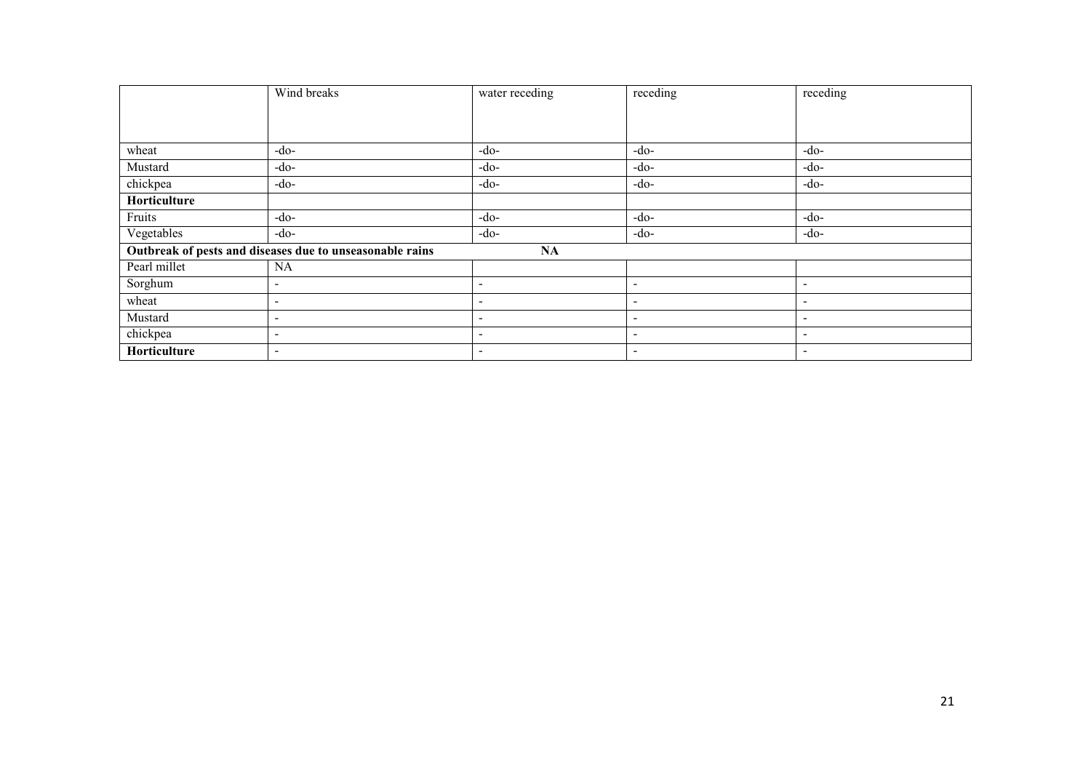|              | Wind breaks                                              | water receding           | receding                 | receding                     |
|--------------|----------------------------------------------------------|--------------------------|--------------------------|------------------------------|
|              |                                                          |                          |                          |                              |
|              |                                                          |                          |                          |                              |
| wheat        | $-do-$                                                   | -do-                     | $-do-$                   | $-do-$                       |
| Mustard      | $-do-$                                                   | -do-                     | $-do-$                   | $-do-$                       |
| chickpea     | $-do-$                                                   | -do-                     | $-do-$                   | $-do-$                       |
| Horticulture |                                                          |                          |                          |                              |
| Fruits       | $-do-$                                                   | $-do-$                   | $-do-$                   | $-do-$                       |
| Vegetables   | $-do-$                                                   | -do-                     | $-do-$                   | $-do-$                       |
|              | Outbreak of pests and diseases due to unseasonable rains | NA                       |                          |                              |
| Pearl millet | <b>NA</b>                                                |                          |                          |                              |
| Sorghum      | $\overline{\phantom{a}}$                                 | $\overline{\phantom{a}}$ | $\overline{\phantom{a}}$ | $\overline{\phantom{a}}$     |
| wheat        | $\overline{\phantom{0}}$                                 | $\overline{\phantom{0}}$ | $\overline{\phantom{0}}$ | $\overline{\phantom{a}}$     |
| Mustard      | $\overline{\phantom{a}}$                                 | $\overline{\phantom{a}}$ | $\overline{\phantom{0}}$ | $\qquad \qquad \blacksquare$ |
| chickpea     | $\overline{\phantom{a}}$                                 | $\overline{\phantom{a}}$ | $\overline{\phantom{a}}$ | $\overline{\phantom{a}}$     |
| Horticulture | $\overline{\phantom{a}}$                                 | $\overline{\phantom{0}}$ | $\overline{\phantom{a}}$ | $\overline{\phantom{a}}$     |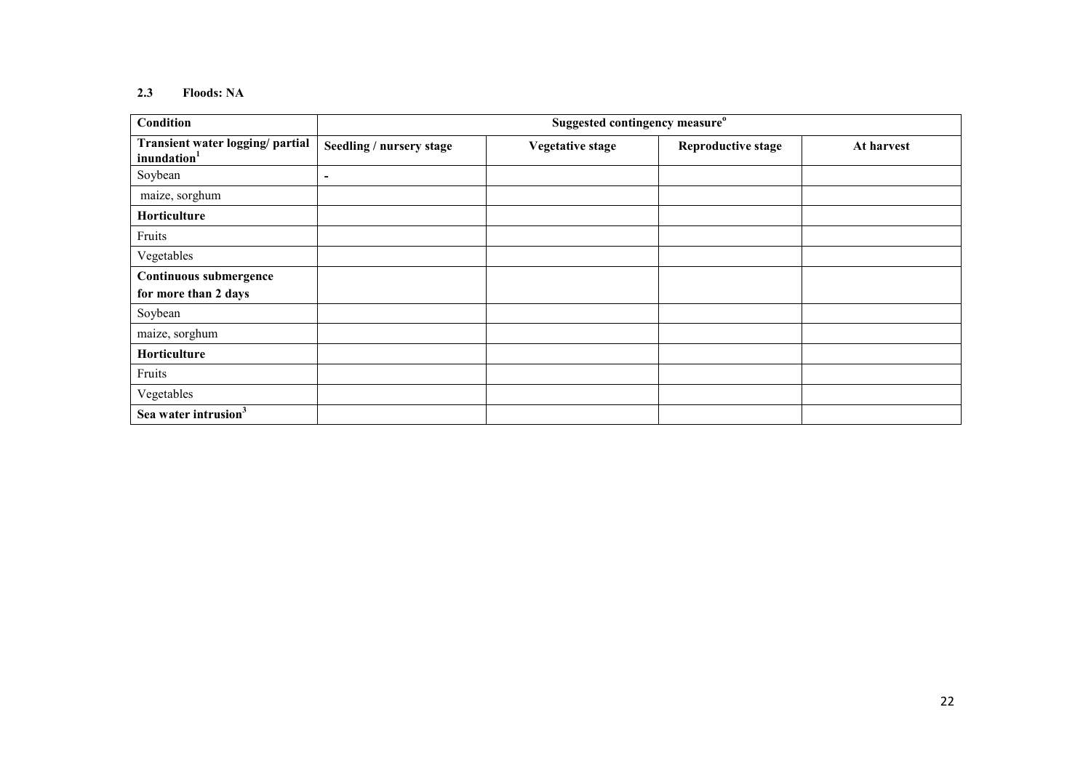#### 2.3 Floods: NA

| Suggested contingency measure <sup>o</sup><br>Condition     |                          |                         |                           |            |
|-------------------------------------------------------------|--------------------------|-------------------------|---------------------------|------------|
| Transient water logging/ partial<br>inundation <sup>1</sup> | Seedling / nursery stage | <b>Vegetative stage</b> | <b>Reproductive stage</b> | At harvest |
| Soybean                                                     | $\blacksquare$           |                         |                           |            |
| maize, sorghum                                              |                          |                         |                           |            |
| Horticulture                                                |                          |                         |                           |            |
| Fruits                                                      |                          |                         |                           |            |
| Vegetables                                                  |                          |                         |                           |            |
| Continuous submergence                                      |                          |                         |                           |            |
| for more than 2 days                                        |                          |                         |                           |            |
| Soybean                                                     |                          |                         |                           |            |
| maize, sorghum                                              |                          |                         |                           |            |
| Horticulture                                                |                          |                         |                           |            |
| Fruits                                                      |                          |                         |                           |            |
| Vegetables                                                  |                          |                         |                           |            |
| Sea water intrusion <sup>3</sup>                            |                          |                         |                           |            |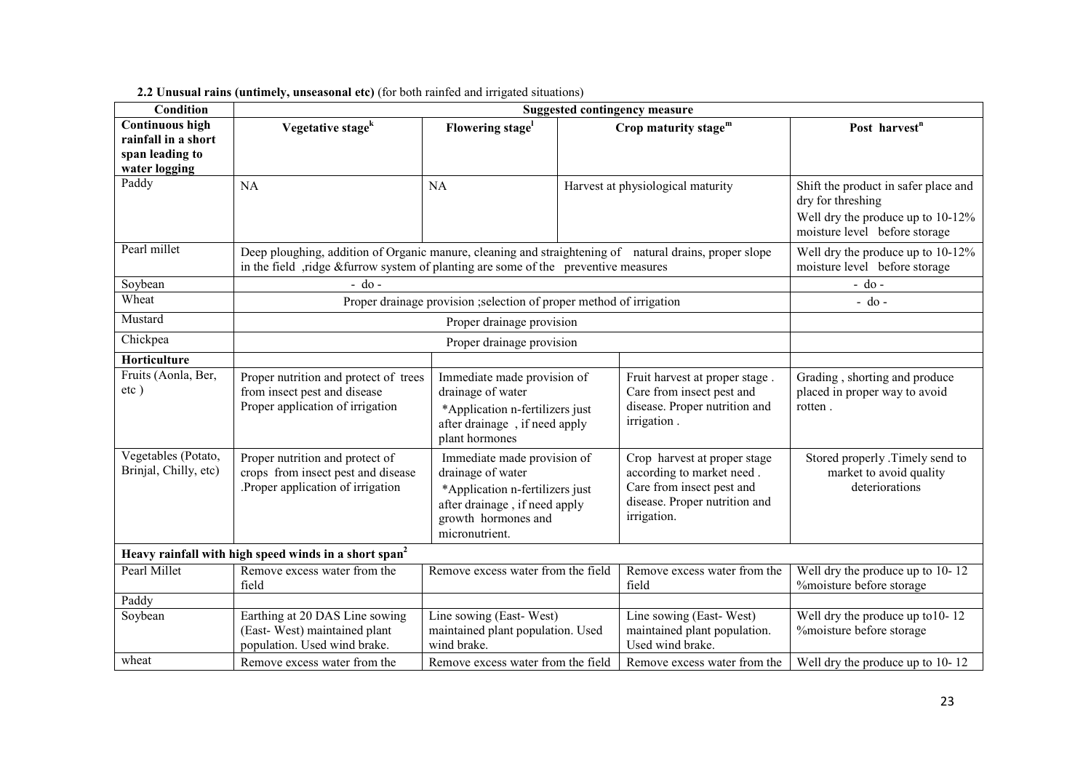| <b>Condition</b>                                                 | <b>Suggested contingency measure</b>                                                                                                                                                           |                                                                                                                                                               |  |                                                                                                                                        |                                                                                                                                 |
|------------------------------------------------------------------|------------------------------------------------------------------------------------------------------------------------------------------------------------------------------------------------|---------------------------------------------------------------------------------------------------------------------------------------------------------------|--|----------------------------------------------------------------------------------------------------------------------------------------|---------------------------------------------------------------------------------------------------------------------------------|
| <b>Continuous high</b><br>rainfall in a short<br>span leading to | Vegetative stage <sup>k</sup>                                                                                                                                                                  | Flowering stage <sup>1</sup>                                                                                                                                  |  | Crop maturity stage <sup>m</sup>                                                                                                       | Post harvest <sup>n</sup>                                                                                                       |
| water logging                                                    |                                                                                                                                                                                                |                                                                                                                                                               |  |                                                                                                                                        |                                                                                                                                 |
| Paddy                                                            | <b>NA</b>                                                                                                                                                                                      | NA                                                                                                                                                            |  | Harvest at physiological maturity                                                                                                      | Shift the product in safer place and<br>dry for threshing<br>Well dry the produce up to 10-12%<br>moisture level before storage |
| Pearl millet                                                     | Deep ploughing, addition of Organic manure, cleaning and straightening of natural drains, proper slope<br>in the field , ridge & furrow system of planting are some of the preventive measures |                                                                                                                                                               |  |                                                                                                                                        | Well dry the produce up to 10-12%<br>moisture level before storage                                                              |
| Soybean                                                          | $-$ do $-$                                                                                                                                                                                     |                                                                                                                                                               |  |                                                                                                                                        | $-$ do $-$                                                                                                                      |
| Wheat                                                            |                                                                                                                                                                                                | Proper drainage provision ; selection of proper method of irrigation                                                                                          |  |                                                                                                                                        | $-$ do $-$                                                                                                                      |
| Mustard                                                          |                                                                                                                                                                                                | Proper drainage provision                                                                                                                                     |  |                                                                                                                                        |                                                                                                                                 |
| Chickpea                                                         | Proper drainage provision                                                                                                                                                                      |                                                                                                                                                               |  |                                                                                                                                        |                                                                                                                                 |
| Horticulture                                                     |                                                                                                                                                                                                |                                                                                                                                                               |  |                                                                                                                                        |                                                                                                                                 |
| Fruits (Aonla, Ber,<br>$etc$ )                                   | Proper nutrition and protect of trees<br>from insect pest and disease<br>Proper application of irrigation                                                                                      | Immediate made provision of<br>drainage of water<br>*Application n-fertilizers just<br>after drainage, if need apply<br>plant hormones                        |  | Fruit harvest at proper stage.<br>Care from insect pest and<br>disease. Proper nutrition and<br>irrigation.                            | Grading, shorting and produce<br>placed in proper way to avoid<br>rotten.                                                       |
| Vegetables (Potato,<br>Brinjal, Chilly, etc)                     | Proper nutrition and protect of<br>crops from insect pest and disease<br>Proper application of irrigation.                                                                                     | Immediate made provision of<br>drainage of water<br>*Application n-fertilizers just<br>after drainage, if need apply<br>growth hormones and<br>micronutrient. |  | Crop harvest at proper stage<br>according to market need.<br>Care from insect pest and<br>disease. Proper nutrition and<br>irrigation. | Stored properly .Timely send to<br>market to avoid quality<br>deteriorations                                                    |
|                                                                  | Heavy rainfall with high speed winds in a short span <sup>2</sup>                                                                                                                              |                                                                                                                                                               |  |                                                                                                                                        |                                                                                                                                 |
| Pearl Millet                                                     | Remove excess water from the<br>field                                                                                                                                                          | Remove excess water from the field                                                                                                                            |  | Remove excess water from the<br>field                                                                                                  | Well dry the produce up to 10-12<br>%moisture before storage                                                                    |
| Paddy                                                            |                                                                                                                                                                                                |                                                                                                                                                               |  |                                                                                                                                        |                                                                                                                                 |
| Soybean                                                          | Earthing at 20 DAS Line sowing<br>(East-West) maintained plant<br>population. Used wind brake.                                                                                                 | Line sowing (East-West)<br>maintained plant population. Used<br>wind brake.                                                                                   |  | Line sowing (East-West)<br>maintained plant population.<br>Used wind brake.                                                            | Well dry the produce up to 10-12<br>%moisture before storage                                                                    |
| wheat                                                            | Remove excess water from the                                                                                                                                                                   | Remove excess water from the field                                                                                                                            |  | Remove excess water from the                                                                                                           | Well dry the produce up to 10-12                                                                                                |

#### 2.2 Unusual rains (untimely, unseasonal etc) (for both rainfed and irrigated situations)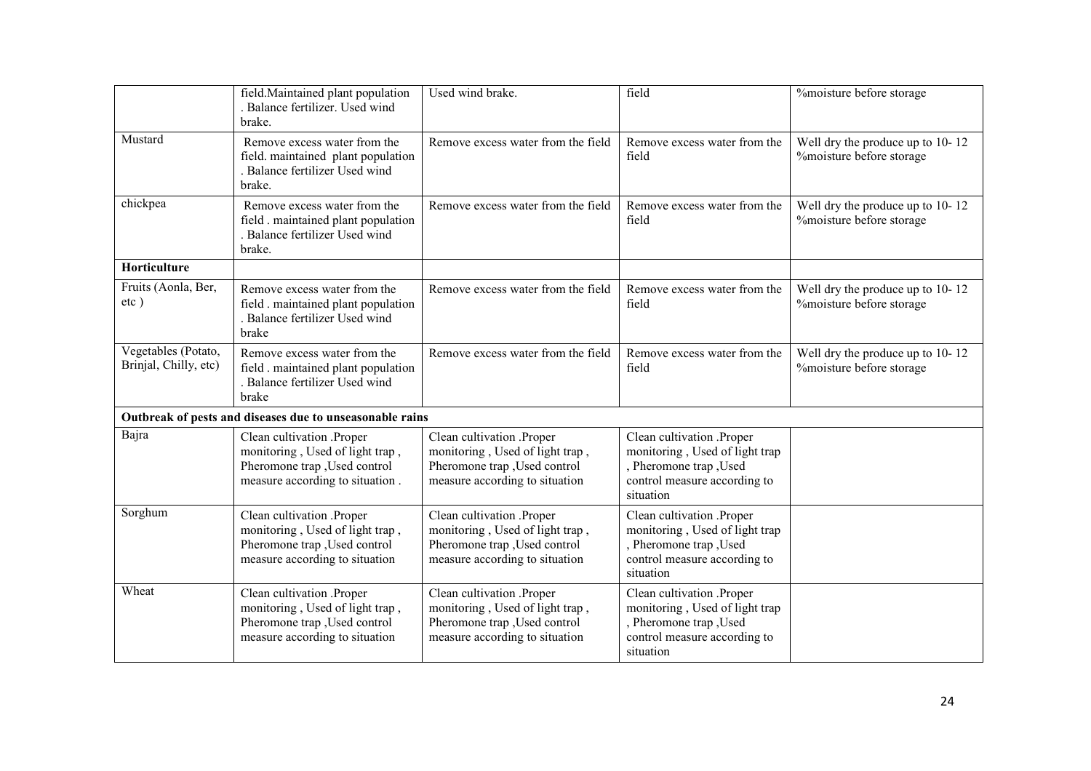|                                              | field. Maintained plant population<br>Balance fertilizer. Used wind<br>brake.                                                    | Used wind brake.                                                                                                                | field                                                                                                                              | %moisture before storage                                     |
|----------------------------------------------|----------------------------------------------------------------------------------------------------------------------------------|---------------------------------------------------------------------------------------------------------------------------------|------------------------------------------------------------------------------------------------------------------------------------|--------------------------------------------------------------|
| Mustard                                      | Remove excess water from the<br>field. maintained plant population<br>Balance fertilizer Used wind<br>brake.                     | Remove excess water from the field                                                                                              | Remove excess water from the<br>field                                                                                              | Well dry the produce up to 10-12<br>%moisture before storage |
| chickpea                                     | Remove excess water from the<br>field . maintained plant population<br>. Balance fertilizer Used wind<br>brake.                  | Remove excess water from the field                                                                                              | Remove excess water from the<br>field                                                                                              | Well dry the produce up to 10-12<br>%moisture before storage |
| Horticulture                                 |                                                                                                                                  |                                                                                                                                 |                                                                                                                                    |                                                              |
| Fruits (Aonla, Ber,<br>$etc$ )               | Remove excess water from the<br>field maintained plant population<br>. Balance fertilizer Used wind<br>brake                     | Remove excess water from the field                                                                                              | Remove excess water from the<br>field                                                                                              | Well dry the produce up to 10-12<br>%moisture before storage |
| Vegetables (Potato,<br>Brinjal, Chilly, etc) | Remove excess water from the<br>field . maintained plant population<br>. Balance fertilizer Used wind<br>brake                   | Remove excess water from the field                                                                                              | Remove excess water from the<br>field                                                                                              | Well dry the produce up to 10-12<br>%moisture before storage |
|                                              | Outbreak of pests and diseases due to unseasonable rains                                                                         |                                                                                                                                 |                                                                                                                                    |                                                              |
| Bajra                                        | Clean cultivation .Proper<br>monitoring, Used of light trap,<br>Pheromone trap , Used control<br>measure according to situation. | Clean cultivation .Proper<br>monitoring, Used of light trap,<br>Pheromone trap , Used control<br>measure according to situation | Clean cultivation .Proper<br>monitoring, Used of light trap<br>, Pheromone trap, Used<br>control measure according to<br>situation |                                                              |
| Sorghum                                      | Clean cultivation .Proper<br>monitoring, Used of light trap,<br>Pheromone trap , Used control<br>measure according to situation  | Clean cultivation .Proper<br>monitoring, Used of light trap,<br>Pheromone trap , Used control<br>measure according to situation | Clean cultivation .Proper<br>monitoring, Used of light trap<br>, Pheromone trap, Used<br>control measure according to<br>situation |                                                              |
| Wheat                                        | Clean cultivation .Proper<br>monitoring, Used of light trap,<br>Pheromone trap , Used control<br>measure according to situation  | Clean cultivation .Proper<br>monitoring, Used of light trap,<br>Pheromone trap , Used control<br>measure according to situation | Clean cultivation .Proper<br>monitoring, Used of light trap<br>, Pheromone trap, Used<br>control measure according to<br>situation |                                                              |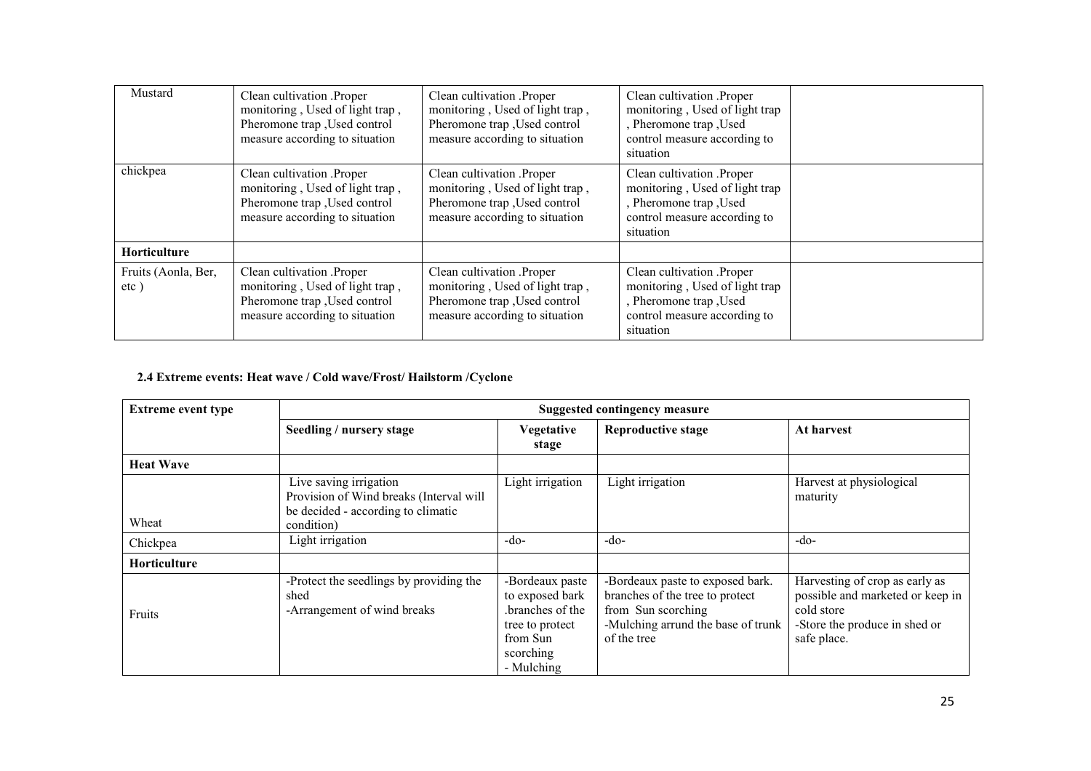| Mustard                     | Clean cultivation .Proper<br>monitoring, Used of light trap,<br>Pheromone trap , Used control<br>measure according to situation | Clean cultivation .Proper<br>monitoring, Used of light trap,<br>Pheromone trap , Used control<br>measure according to situation | Clean cultivation .Proper<br>monitoring, Used of light trap<br>, Pheromone trap, Used<br>control measure according to<br>situation |  |
|-----------------------------|---------------------------------------------------------------------------------------------------------------------------------|---------------------------------------------------------------------------------------------------------------------------------|------------------------------------------------------------------------------------------------------------------------------------|--|
| chickpea                    | Clean cultivation .Proper<br>monitoring, Used of light trap,<br>Pheromone trap , Used control<br>measure according to situation | Clean cultivation .Proper<br>monitoring, Used of light trap,<br>Pheromone trap , Used control<br>measure according to situation | Clean cultivation .Proper<br>monitoring, Used of light trap<br>, Pheromone trap, Used<br>control measure according to<br>situation |  |
| Horticulture                |                                                                                                                                 |                                                                                                                                 |                                                                                                                                    |  |
| Fruits (Aonla, Ber,<br>etc) | Clean cultivation .Proper<br>monitoring, Used of light trap,<br>Pheromone trap , Used control<br>measure according to situation | Clean cultivation .Proper<br>monitoring, Used of light trap,<br>Pheromone trap , Used control<br>measure according to situation | Clean cultivation .Proper<br>monitoring, Used of light trap<br>, Pheromone trap, Used<br>control measure according to<br>situation |  |

#### 2.4 Extreme events: Heat wave / Cold wave/Frost/ Hailstorm /Cyclone

| <b>Extreme event type</b> | <b>Suggested contingency measure</b>                                                                                  |                                                                                                                 |                                                                                                                                                |                                                                                                                                  |  |
|---------------------------|-----------------------------------------------------------------------------------------------------------------------|-----------------------------------------------------------------------------------------------------------------|------------------------------------------------------------------------------------------------------------------------------------------------|----------------------------------------------------------------------------------------------------------------------------------|--|
|                           | Seedling / nursery stage                                                                                              | <b>Vegetative</b><br>stage                                                                                      | <b>Reproductive stage</b>                                                                                                                      | At harvest                                                                                                                       |  |
| <b>Heat Wave</b>          |                                                                                                                       |                                                                                                                 |                                                                                                                                                |                                                                                                                                  |  |
| Wheat                     | Live saving irrigation<br>Provision of Wind breaks (Interval will<br>be decided - according to climatic<br>condition) | Light irrigation                                                                                                | Light irrigation                                                                                                                               | Harvest at physiological<br>maturity                                                                                             |  |
| Chickpea                  | Light irrigation                                                                                                      | $-do-$                                                                                                          | $-do-$                                                                                                                                         | -do-                                                                                                                             |  |
| <b>Horticulture</b>       |                                                                                                                       |                                                                                                                 |                                                                                                                                                |                                                                                                                                  |  |
| Fruits                    | -Protect the seedlings by providing the<br>shed<br>-Arrangement of wind breaks                                        | -Bordeaux paste<br>to exposed bark<br>branches of the<br>tree to protect<br>from Sun<br>scorching<br>- Mulching | -Bordeaux paste to exposed bark.<br>branches of the tree to protect<br>from Sun scorching<br>-Mulching arrund the base of trunk<br>of the tree | Harvesting of crop as early as<br>possible and marketed or keep in<br>cold store<br>-Store the produce in shed or<br>safe place. |  |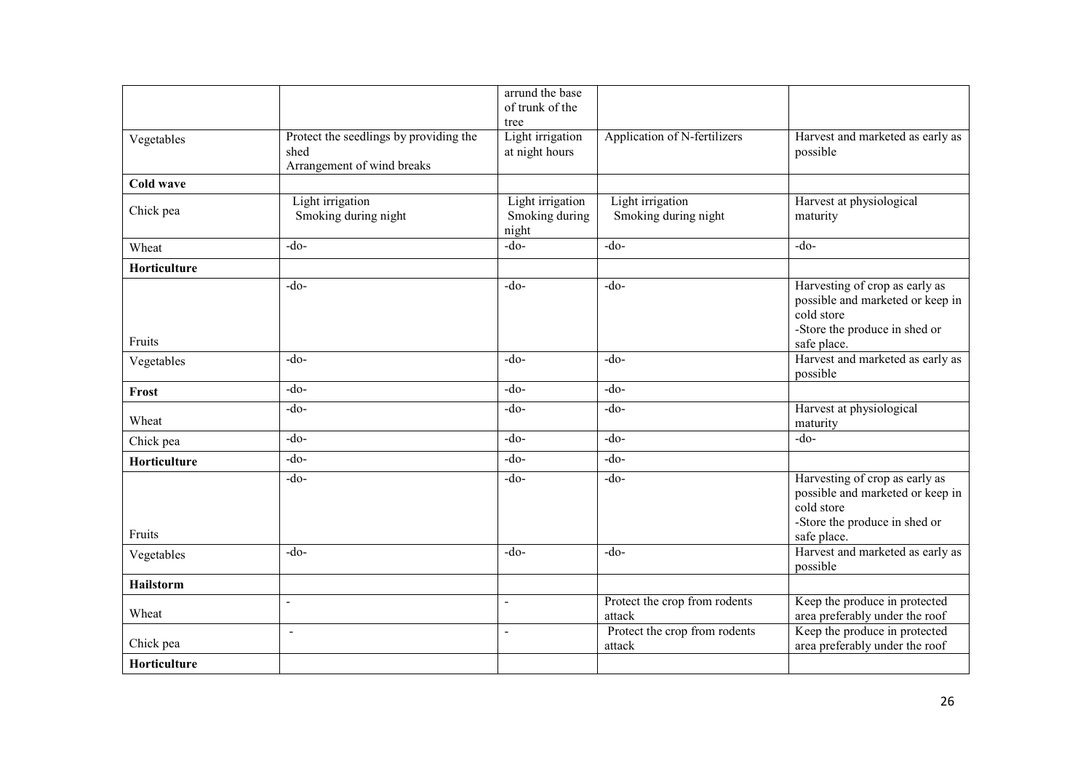|                  |                                                                              | arrund the base<br>of trunk of the          |                                          |                                                                                                                                  |
|------------------|------------------------------------------------------------------------------|---------------------------------------------|------------------------------------------|----------------------------------------------------------------------------------------------------------------------------------|
| Vegetables       | Protect the seedlings by providing the<br>shed<br>Arrangement of wind breaks | tree<br>Light irrigation<br>at night hours  | Application of N-fertilizers             | Harvest and marketed as early as<br>possible                                                                                     |
| <b>Cold wave</b> |                                                                              |                                             |                                          |                                                                                                                                  |
| Chick pea        | Light irrigation<br>Smoking during night                                     | Light irrigation<br>Smoking during<br>night | Light irrigation<br>Smoking during night | Harvest at physiological<br>maturity                                                                                             |
| Wheat            | $-do-$                                                                       | $-do-$                                      | $-do-$                                   | $-do-$                                                                                                                           |
| Horticulture     |                                                                              |                                             |                                          |                                                                                                                                  |
| Fruits           | $-do-$                                                                       | $-do-$                                      | $-do-$                                   | Harvesting of crop as early as<br>possible and marketed or keep in<br>cold store<br>-Store the produce in shed or<br>safe place. |
| Vegetables       | $-do-$                                                                       | $-do-$                                      | $-do-$                                   | Harvest and marketed as early as<br>possible                                                                                     |
| Frost            | $-do-$                                                                       | $-do-$                                      | $-do-$                                   |                                                                                                                                  |
| Wheat            | $-do-$                                                                       | $-do-$                                      | $-do-$                                   | Harvest at physiological<br>maturity                                                                                             |
| Chick pea        | $-do-$                                                                       | $-do-$                                      | $-do-$                                   | $-do-$                                                                                                                           |
| Horticulture     | $-do-$                                                                       | $-do-$                                      | $-do-$                                   |                                                                                                                                  |
| Fruits           | $-do-$                                                                       | $-do-$                                      | $-do-$                                   | Harvesting of crop as early as<br>possible and marketed or keep in<br>cold store<br>-Store the produce in shed or<br>safe place. |
| Vegetables       | $-do-$                                                                       | $-do-$                                      | $-do-$                                   | Harvest and marketed as early as<br>possible                                                                                     |
| <b>Hailstorm</b> |                                                                              |                                             |                                          |                                                                                                                                  |
| Wheat            | $\overline{\phantom{a}}$                                                     | $\blacksquare$                              | Protect the crop from rodents<br>attack  | Keep the produce in protected<br>area preferably under the roof                                                                  |
| Chick pea        | $\blacksquare$                                                               | $\blacksquare$                              | Protect the crop from rodents<br>attack  | Keep the produce in protected<br>area preferably under the roof                                                                  |
| Horticulture     |                                                                              |                                             |                                          |                                                                                                                                  |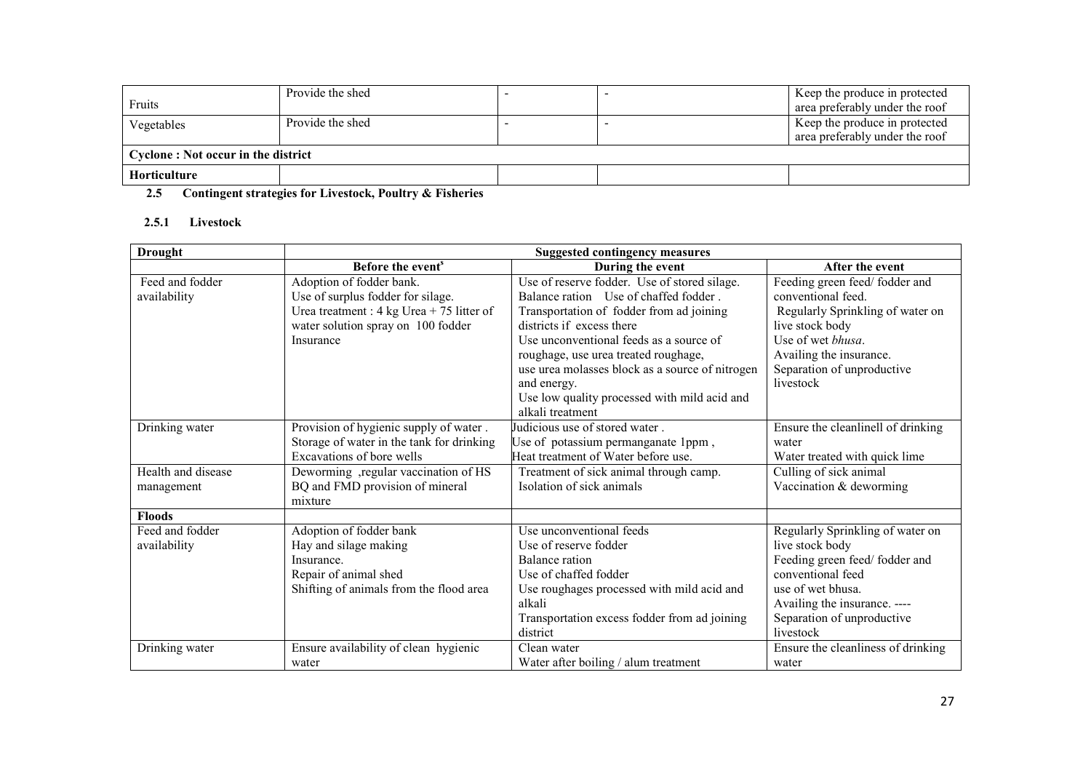|                                    | Provide the shed |  |  | Keep the produce in protected  |  |
|------------------------------------|------------------|--|--|--------------------------------|--|
| Fruits                             |                  |  |  | area preferably under the roof |  |
| Vegetables                         | Provide the shed |  |  | Keep the produce in protected  |  |
|                                    |                  |  |  | area preferably under the roof |  |
| Cyclone: Not occur in the district |                  |  |  |                                |  |
| Horticulture                       |                  |  |  |                                |  |
| $\sim$ $\sim$ $\sim$               |                  |  |  |                                |  |

#### 2.5Contingent strategies for Livestock, Poultry & Fisheries

### 2.5.1 Livestock

| <b>Drought</b>                   | <b>Suggested contingency measures</b>                                                                                                                                   |                                                                                                                                                                                                                                                                                                                     |                                                                                                                                                                                                           |  |
|----------------------------------|-------------------------------------------------------------------------------------------------------------------------------------------------------------------------|---------------------------------------------------------------------------------------------------------------------------------------------------------------------------------------------------------------------------------------------------------------------------------------------------------------------|-----------------------------------------------------------------------------------------------------------------------------------------------------------------------------------------------------------|--|
|                                  | Before the event <sup>s</sup>                                                                                                                                           | During the event                                                                                                                                                                                                                                                                                                    | After the event                                                                                                                                                                                           |  |
| Feed and fodder<br>availability  | Adoption of fodder bank.<br>Use of surplus fodder for silage.<br>Urea treatment : $4 \text{ kg}$ Urea + 75 litter of<br>water solution spray on 100 fodder<br>Insurance | Use of reserve fodder. Use of stored silage.<br>Balance ration Use of chaffed fodder.<br>Transportation of fodder from ad joining<br>districts if excess there<br>Use unconventional feeds as a source of<br>roughage, use urea treated roughage,<br>use urea molasses block as a source of nitrogen<br>and energy. | Feeding green feed/fodder and<br>conventional feed.<br>Regularly Sprinkling of water on<br>live stock body<br>Use of wet bhusa.<br>Availing the insurance.<br>Separation of unproductive<br>livestock     |  |
|                                  |                                                                                                                                                                         | Use low quality processed with mild acid and<br>alkali treatment                                                                                                                                                                                                                                                    |                                                                                                                                                                                                           |  |
| Drinking water                   | Provision of hygienic supply of water.<br>Storage of water in the tank for drinking<br>Excavations of bore wells                                                        | Judicious use of stored water.<br>Use of potassium permanganate 1ppm,<br>Heat treatment of Water before use.                                                                                                                                                                                                        | Ensure the cleanlinell of drinking<br>water<br>Water treated with quick lime                                                                                                                              |  |
| Health and disease<br>management | Deworming, regular vaccination of HS<br>BQ and FMD provision of mineral<br>mixture                                                                                      | Treatment of sick animal through camp.<br>Isolation of sick animals                                                                                                                                                                                                                                                 | Culling of sick animal<br>Vaccination & deworming                                                                                                                                                         |  |
| <b>Floods</b>                    |                                                                                                                                                                         |                                                                                                                                                                                                                                                                                                                     |                                                                                                                                                                                                           |  |
| Feed and fodder<br>availability  | Adoption of fodder bank<br>Hay and silage making<br>Insurance.<br>Repair of animal shed<br>Shifting of animals from the flood area                                      | Use unconventional feeds<br>Use of reserve fodder<br><b>Balance</b> ration<br>Use of chaffed fodder<br>Use roughages processed with mild acid and<br>alkali<br>Transportation excess fodder from ad joining<br>district                                                                                             | Regularly Sprinkling of water on<br>live stock body<br>Feeding green feed/fodder and<br>conventional feed<br>use of wet bhusa.<br>Availing the insurance. ----<br>Separation of unproductive<br>livestock |  |
| Drinking water                   | Ensure availability of clean hygienic<br>water                                                                                                                          | Clean water<br>Water after boiling / alum treatment                                                                                                                                                                                                                                                                 | Ensure the cleanliness of drinking<br>water                                                                                                                                                               |  |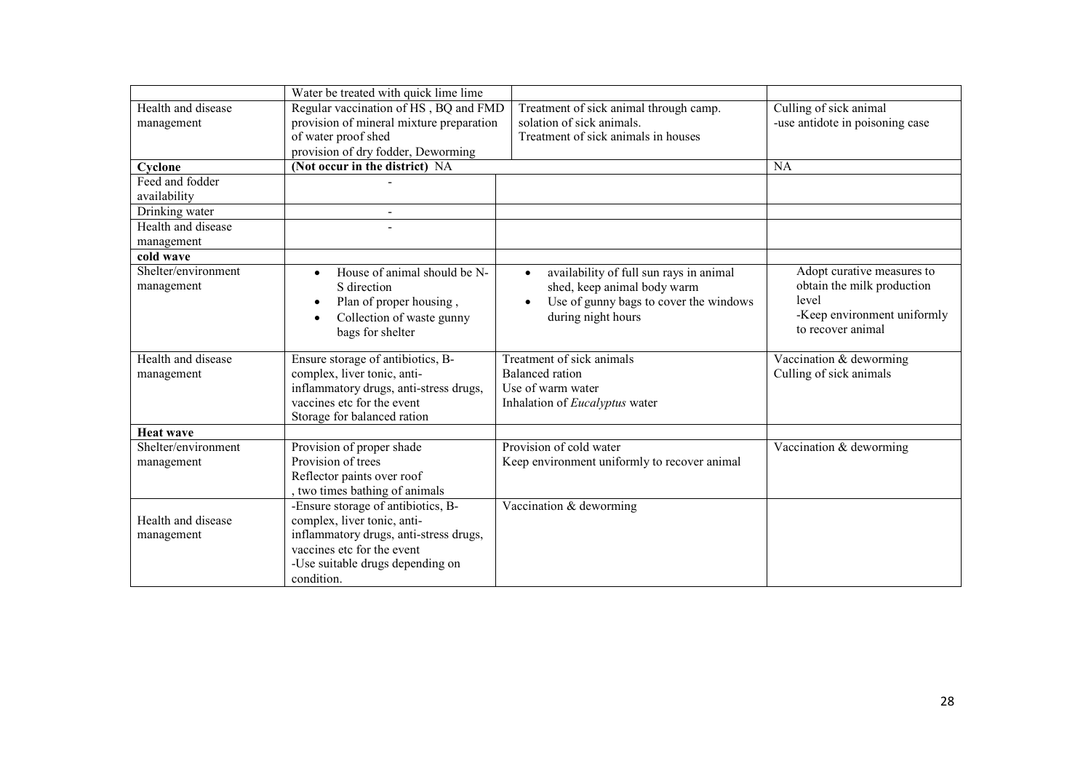|                     | Water be treated with quick lime lime     |                                              |                                         |
|---------------------|-------------------------------------------|----------------------------------------------|-----------------------------------------|
| Health and disease  | Regular vaccination of HS, BQ and FMD     | Treatment of sick animal through camp.       | Culling of sick animal                  |
| management          | provision of mineral mixture preparation  | solation of sick animals.                    | -use antidote in poisoning case         |
|                     | of water proof shed                       | Treatment of sick animals in houses          |                                         |
|                     | provision of dry fodder, Deworming        |                                              |                                         |
| Cyclone             | (Not occur in the district) NA            |                                              | <b>NA</b>                               |
| Feed and fodder     |                                           |                                              |                                         |
| availability        |                                           |                                              |                                         |
| Drinking water      |                                           |                                              |                                         |
| Health and disease  |                                           |                                              |                                         |
| management          |                                           |                                              |                                         |
| cold wave           |                                           |                                              |                                         |
| Shelter/environment | House of animal should be N-<br>$\bullet$ | availability of full sun rays in animal      | Adopt curative measures to              |
| management          | S direction                               | shed, keep animal body warm                  | obtain the milk production              |
|                     | Plan of proper housing,<br>$\bullet$      | Use of gunny bags to cover the windows       | level                                   |
|                     | Collection of waste gunny<br>$\bullet$    | during night hours                           | -Keep environment uniformly             |
|                     | bags for shelter                          |                                              | to recover animal                       |
|                     |                                           |                                              |                                         |
| Health and disease  | Ensure storage of antibiotics, B-         | Treatment of sick animals                    | Vaccination & deworming                 |
| management          | complex, liver tonic, anti-               | <b>Balanced</b> ration                       | Culling of sick animals                 |
|                     | inflammatory drugs, anti-stress drugs,    | Use of warm water                            |                                         |
|                     | vaccines etc for the event                | Inhalation of Eucalyptus water               |                                         |
|                     | Storage for balanced ration               |                                              |                                         |
| <b>Heat wave</b>    |                                           |                                              |                                         |
| Shelter/environment | Provision of proper shade                 | Provision of cold water                      | $\sqrt{\text{Vacc}}$ and $\&$ deworming |
| management          | Provision of trees                        | Keep environment uniformly to recover animal |                                         |
|                     | Reflector paints over roof                |                                              |                                         |
|                     | two times bathing of animals              |                                              |                                         |
|                     | -Ensure storage of antibiotics, B-        | Vaccination & deworming                      |                                         |
| Health and disease  | complex, liver tonic, anti-               |                                              |                                         |
| management          | inflammatory drugs, anti-stress drugs,    |                                              |                                         |
|                     | vaccines etc for the event                |                                              |                                         |
|                     | -Use suitable drugs depending on          |                                              |                                         |
|                     | condition.                                |                                              |                                         |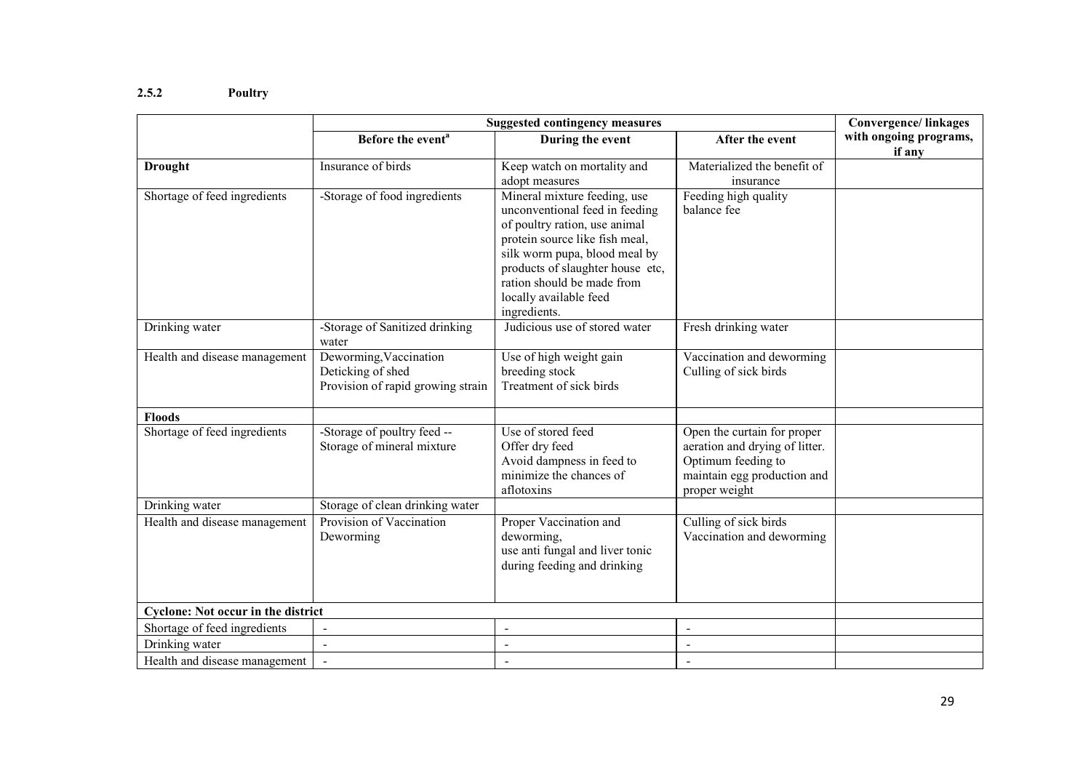#### 2.5.2 Poultry

|                                           | <b>Suggested contingency measures</b>                                            | <b>Convergence/linkages</b>                                                                                                                                                                                                                                                                      |                                                                                                                                     |                                  |
|-------------------------------------------|----------------------------------------------------------------------------------|--------------------------------------------------------------------------------------------------------------------------------------------------------------------------------------------------------------------------------------------------------------------------------------------------|-------------------------------------------------------------------------------------------------------------------------------------|----------------------------------|
|                                           | Before the event <sup>a</sup>                                                    | During the event                                                                                                                                                                                                                                                                                 | After the event                                                                                                                     | with ongoing programs,<br>if any |
| <b>Drought</b>                            | Insurance of birds                                                               | Keep watch on mortality and                                                                                                                                                                                                                                                                      | Materialized the benefit of                                                                                                         |                                  |
| Shortage of feed ingredients              | -Storage of food ingredients                                                     | adopt measures<br>Mineral mixture feeding, use<br>unconventional feed in feeding<br>of poultry ration, use animal<br>protein source like fish meal,<br>silk worm pupa, blood meal by<br>products of slaughter house etc,<br>ration should be made from<br>locally available feed<br>ingredients. | insurance<br>Feeding high quality<br>balance fee                                                                                    |                                  |
| Drinking water                            | -Storage of Sanitized drinking<br>water                                          | Judicious use of stored water                                                                                                                                                                                                                                                                    | Fresh drinking water                                                                                                                |                                  |
| Health and disease management             | Deworming, Vaccination<br>Deticking of shed<br>Provision of rapid growing strain | Use of high weight gain<br>breeding stock<br>Treatment of sick birds                                                                                                                                                                                                                             | Vaccination and deworming<br>Culling of sick birds                                                                                  |                                  |
| <b>Floods</b>                             |                                                                                  |                                                                                                                                                                                                                                                                                                  |                                                                                                                                     |                                  |
| Shortage of feed ingredients              | -Storage of poultry feed --<br>Storage of mineral mixture                        | Use of stored feed<br>Offer dry feed<br>Avoid dampness in feed to<br>minimize the chances of<br>aflotoxins                                                                                                                                                                                       | Open the curtain for proper<br>aeration and drying of litter.<br>Optimum feeding to<br>maintain egg production and<br>proper weight |                                  |
| Drinking water                            | Storage of clean drinking water                                                  |                                                                                                                                                                                                                                                                                                  |                                                                                                                                     |                                  |
| Health and disease management             | Provision of Vaccination<br>Deworming                                            | Proper Vaccination and<br>deworming,<br>use anti fungal and liver tonic<br>during feeding and drinking                                                                                                                                                                                           | Culling of sick birds<br>Vaccination and deworming                                                                                  |                                  |
| <b>Cyclone: Not occur in the district</b> |                                                                                  |                                                                                                                                                                                                                                                                                                  |                                                                                                                                     |                                  |
| Shortage of feed ingredients              | $\overline{\phantom{a}}$                                                         | $\blacksquare$                                                                                                                                                                                                                                                                                   | $\overline{\phantom{a}}$                                                                                                            |                                  |
| Drinking water                            | $\overline{\phantom{a}}$                                                         | $\overline{\phantom{a}}$                                                                                                                                                                                                                                                                         | $\overline{\phantom{a}}$                                                                                                            |                                  |
| Health and disease management             |                                                                                  |                                                                                                                                                                                                                                                                                                  | $\blacksquare$                                                                                                                      |                                  |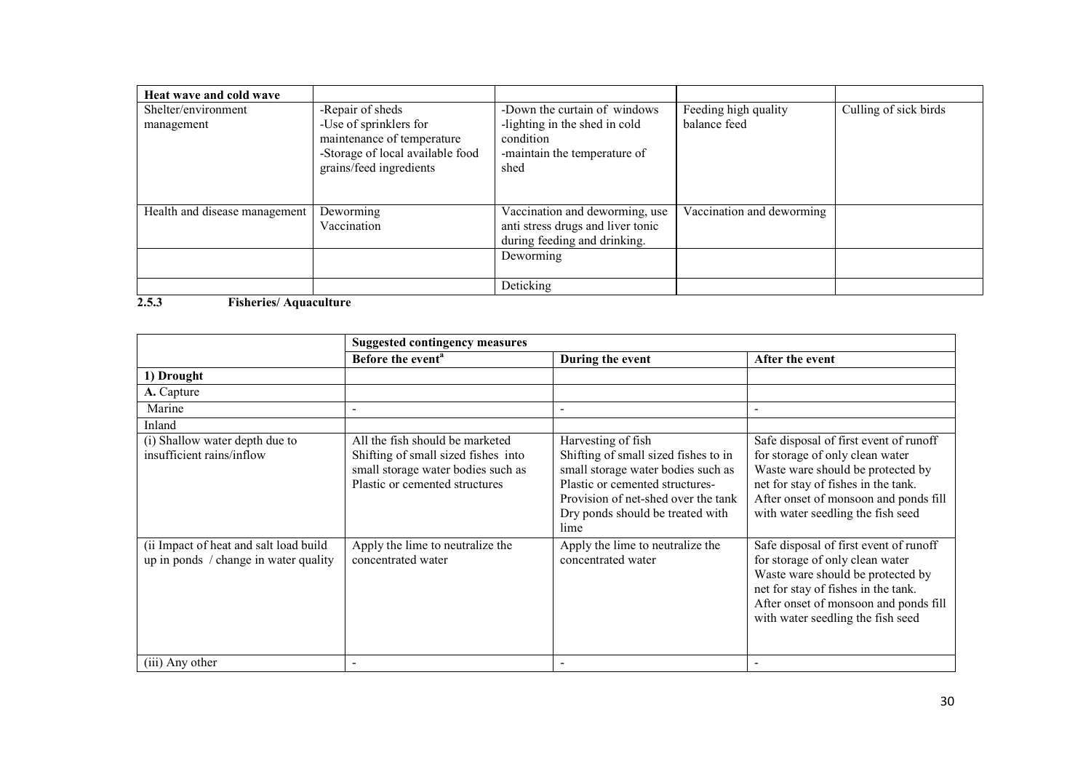| Heat wave and cold wave       |                                                                                                                     |                                                                                    |                           |                       |
|-------------------------------|---------------------------------------------------------------------------------------------------------------------|------------------------------------------------------------------------------------|---------------------------|-----------------------|
| Shelter/environment           | -Repair of sheds                                                                                                    | -Down the curtain of windows                                                       | Feeding high quality      | Culling of sick birds |
| management                    | -Use of sprinklers for<br>maintenance of temperature<br>-Storage of local available food<br>grains/feed ingredients | -lighting in the shed in cold<br>condition<br>-maintain the temperature of<br>shed | balance feed              |                       |
| Health and disease management | Deworming                                                                                                           | Vaccination and deworming, use                                                     | Vaccination and deworming |                       |
|                               | Vaccination                                                                                                         | anti stress drugs and liver tonic                                                  |                           |                       |
|                               |                                                                                                                     | during feeding and drinking.                                                       |                           |                       |
|                               |                                                                                                                     | Deworming                                                                          |                           |                       |
|                               |                                                                                                                     | Deticking                                                                          |                           |                       |

#### 2.5.3 Fisheries/ Aquaculture

|                                                                                 | <b>Suggested contingency measures</b>                                                                                                          |                                                                                                                                                                                                                        |                                                                                                                                                                                                                                     |  |
|---------------------------------------------------------------------------------|------------------------------------------------------------------------------------------------------------------------------------------------|------------------------------------------------------------------------------------------------------------------------------------------------------------------------------------------------------------------------|-------------------------------------------------------------------------------------------------------------------------------------------------------------------------------------------------------------------------------------|--|
|                                                                                 | Before the event <sup>a</sup>                                                                                                                  | During the event                                                                                                                                                                                                       | After the event                                                                                                                                                                                                                     |  |
| 1) Drought                                                                      |                                                                                                                                                |                                                                                                                                                                                                                        |                                                                                                                                                                                                                                     |  |
| A. Capture                                                                      |                                                                                                                                                |                                                                                                                                                                                                                        |                                                                                                                                                                                                                                     |  |
| Marine                                                                          |                                                                                                                                                |                                                                                                                                                                                                                        | $\blacksquare$                                                                                                                                                                                                                      |  |
| Inland                                                                          |                                                                                                                                                |                                                                                                                                                                                                                        |                                                                                                                                                                                                                                     |  |
| (i) Shallow water depth due to<br>insufficient rains/inflow                     | All the fish should be marketed<br>Shifting of small sized fishes into<br>small storage water bodies such as<br>Plastic or cemented structures | Harvesting of fish<br>Shifting of small sized fishes to in<br>small storage water bodies such as<br>Plastic or cemented structures-<br>Provision of net-shed over the tank<br>Dry ponds should be treated with<br>lime | Safe disposal of first event of runoff<br>for storage of only clean water<br>Waste ware should be protected by<br>net for stay of fishes in the tank.<br>After onset of monsoon and ponds fill<br>with water seedling the fish seed |  |
| (ii Impact of heat and salt load build<br>up in ponds / change in water quality | Apply the lime to neutralize the<br>concentrated water                                                                                         | Apply the lime to neutralize the<br>concentrated water                                                                                                                                                                 | Safe disposal of first event of runoff<br>for storage of only clean water<br>Waste ware should be protected by<br>net for stay of fishes in the tank.<br>After onset of monsoon and ponds fill<br>with water seedling the fish seed |  |
| (iii) Any other                                                                 |                                                                                                                                                |                                                                                                                                                                                                                        |                                                                                                                                                                                                                                     |  |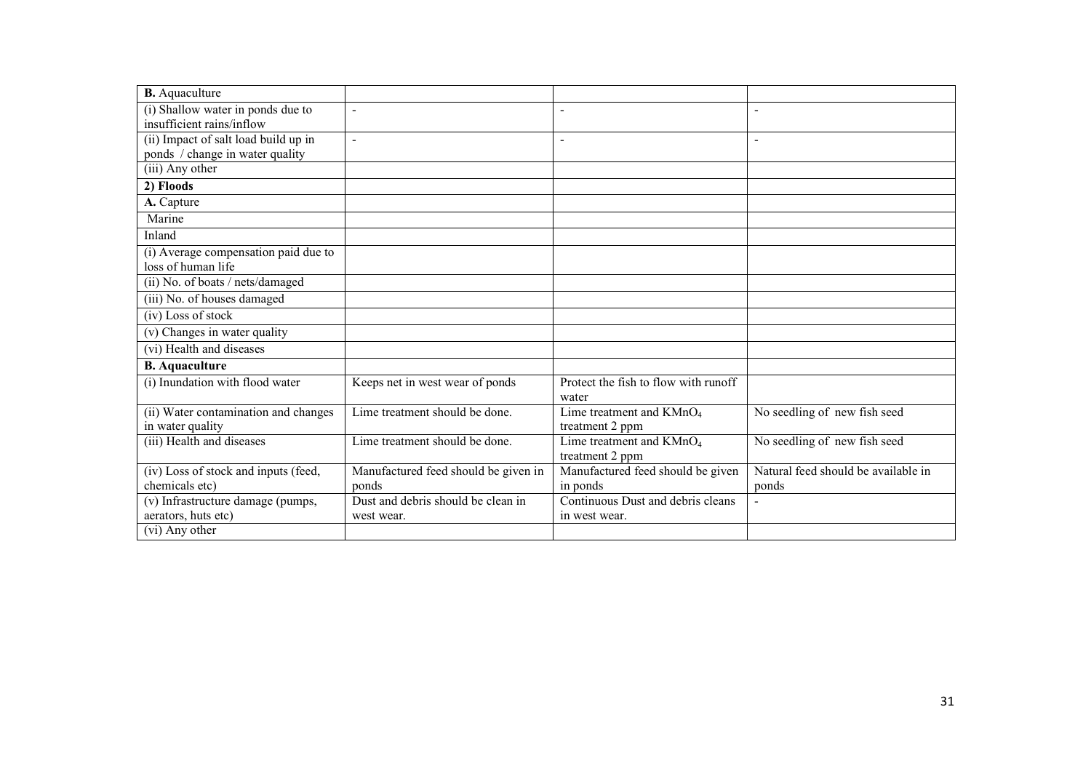| <b>B.</b> Aquaculture                          |                                      |                                      |                                     |
|------------------------------------------------|--------------------------------------|--------------------------------------|-------------------------------------|
| (i) Shallow water in ponds due to              | $\blacksquare$                       | $\overline{\phantom{0}}$             | $\overline{\phantom{a}}$            |
| insufficient rains/inflow                      |                                      |                                      |                                     |
| (ii) Impact of salt load build up in           | $\blacksquare$                       |                                      | $\blacksquare$                      |
| ponds / change in water quality                |                                      |                                      |                                     |
| (iii) Any other                                |                                      |                                      |                                     |
| 2) Floods                                      |                                      |                                      |                                     |
| A. Capture                                     |                                      |                                      |                                     |
| Marine                                         |                                      |                                      |                                     |
| Inland                                         |                                      |                                      |                                     |
| (i) Average compensation paid due to           |                                      |                                      |                                     |
| loss of human life                             |                                      |                                      |                                     |
| (ii) No. of boats / nets/damaged               |                                      |                                      |                                     |
| (iii) No. of houses damaged                    |                                      |                                      |                                     |
| (iv) Loss of stock                             |                                      |                                      |                                     |
| (v) Changes in water quality                   |                                      |                                      |                                     |
| (vi) Health and diseases                       |                                      |                                      |                                     |
| <b>B.</b> Aquaculture                          |                                      |                                      |                                     |
| (i) Inundation with flood water                | Keeps net in west wear of ponds      | Protect the fish to flow with runoff |                                     |
|                                                |                                      | water                                |                                     |
| (ii) Water contamination and changes           | Lime treatment should be done.       | Lime treatment and $KMnO4$           | No seedling of new fish seed        |
| in water quality                               |                                      | treatment 2 ppm                      |                                     |
| (iii) Health and diseases                      | Lime treatment should be done.       | Lime treatment and $KMnO4$           | No seedling of new fish seed        |
|                                                |                                      | treatment 2 ppm                      |                                     |
| (iv) Loss of stock and inputs (feed,           | Manufactured feed should be given in | Manufactured feed should be given    | Natural feed should be available in |
| chemicals etc)                                 | ponds                                | in ponds                             | ponds                               |
| $\overline{(v)}$ Infrastructure damage (pumps, | Dust and debris should be clean in   | Continuous Dust and debris cleans    |                                     |
| aerators, huts etc)                            | west wear.                           | in west wear.                        |                                     |
| $\overline{(vi)}$ Any other                    |                                      |                                      |                                     |